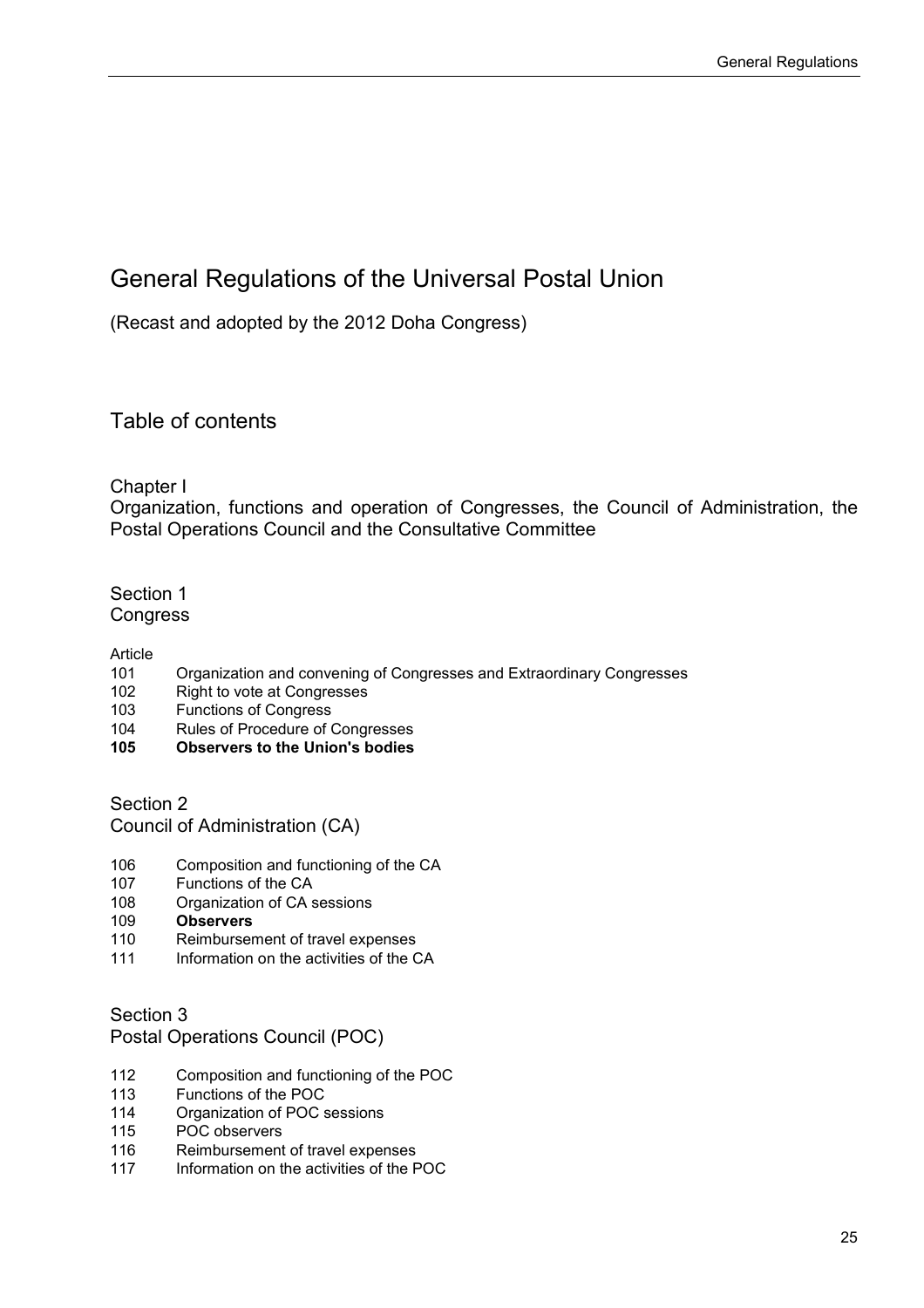# General Regulations of the Universal Postal Union

(Recast and adopted by the 2012 Doha Congress)

Table of contents

Chapter I

Organization, functions and operation of Congresses, the Council of Administration, the Postal Operations Council and the Consultative Committee

# Section 1 Congress

Article<br>101

- Organization and convening of Congresses and Extraordinary Congresses
- 102 Right to vote at Congresses
- 103 Functions of Congress
- 104 Rules of Procedure of Congresses<br>105 **Observers to the Union's bodies**
- **105 Observers to the Union's bodies**

Section 2

Council of Administration (CA)

- 106 Composition and functioning of the CA<br>107 Functions of the CA
- 107 Functions of the CA<br>108 Organization of CA s
- 108 Organization of CA sessions<br>109 **Observers**
- 109 **Observers**
- 110 Reimbursement of travel expenses<br>111 Information on the activities of the C
- Information on the activities of the CA

Section 3

Postal Operations Council (POC)

- 112 Composition and functioning of the POC
- 113 Functions of the POC
- 114 Organization of POC sessions<br>115 POC observers
- POC observers
- 116 Reimbursement of travel expenses
- 117 Information on the activities of the POC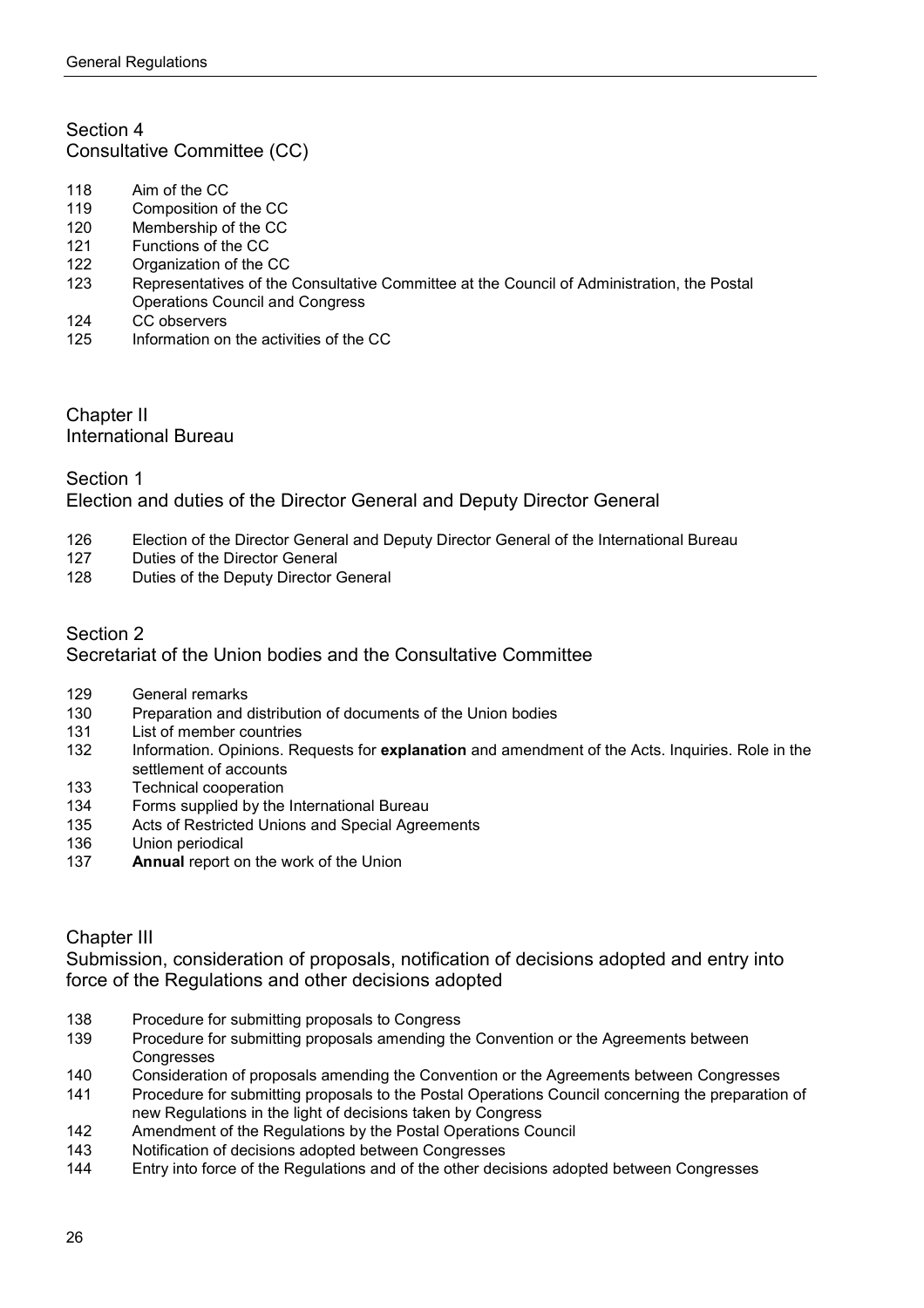# Section 4 Consultative Committee (CC)

- 118 Aim of the CC<br>119 Composition of
- 119 Composition of the CC<br>120 Membership of the CC
- 120 Membership of the CC<br>121 Functions of the CC
- 121 Functions of the CC<br>122 Organization of the 0
- 122 Organization of the CC<br>123 Representatives of the
- Representatives of the Consultative Committee at the Council of Administration, the Postal Operations Council and Congress
- 124 CC observers<br>125 Information or
- Information on the activities of the CC

## Chapter II International Bureau

# Section 1 Election and duties of the Director General and Deputy Director General

- 126 Election of the Director General and Deputy Director General of the International Bureau<br>127 Duties of the Director General
- 127 Duties of the Director General<br>128 Duties of the Deputy Director (
- Duties of the Deputy Director General

## Section 2 Secretariat of the Union bodies and the Consultative Committee

- 129 General remarks<br>130 Preparation and d
- Preparation and distribution of documents of the Union bodies
- 131 List of member countries
- 132 Information. Opinions. Requests for **explanation** and amendment of the Acts. Inquiries. Role in the settlement of accounts
- 133 Technical cooperation
- 134 Forms supplied by the International Bureau
- 135 Acts of Restricted Unions and Special Agreements<br>136 Union periodical
- Union periodical
- 137 **Annual** report on the work of the Union

# Chapter III

Submission, consideration of proposals, notification of decisions adopted and entry into force of the Regulations and other decisions adopted

- 138 Procedure for submitting proposals to Congress
- 139 Procedure for submitting proposals amending the Convention or the Agreements between **Congresses**
- 140 Consideration of proposals amending the Convention or the Agreements between Congresses
- 141 Procedure for submitting proposals to the Postal Operations Council concerning the preparation of new Regulations in the light of decisions taken by Congress
- 142 Amendment of the Regulations by the Postal Operations Council<br>143 Motification of decisions adopted between Congresses
- Notification of decisions adopted between Congresses
- 144 Entry into force of the Regulations and of the other decisions adopted between Congresses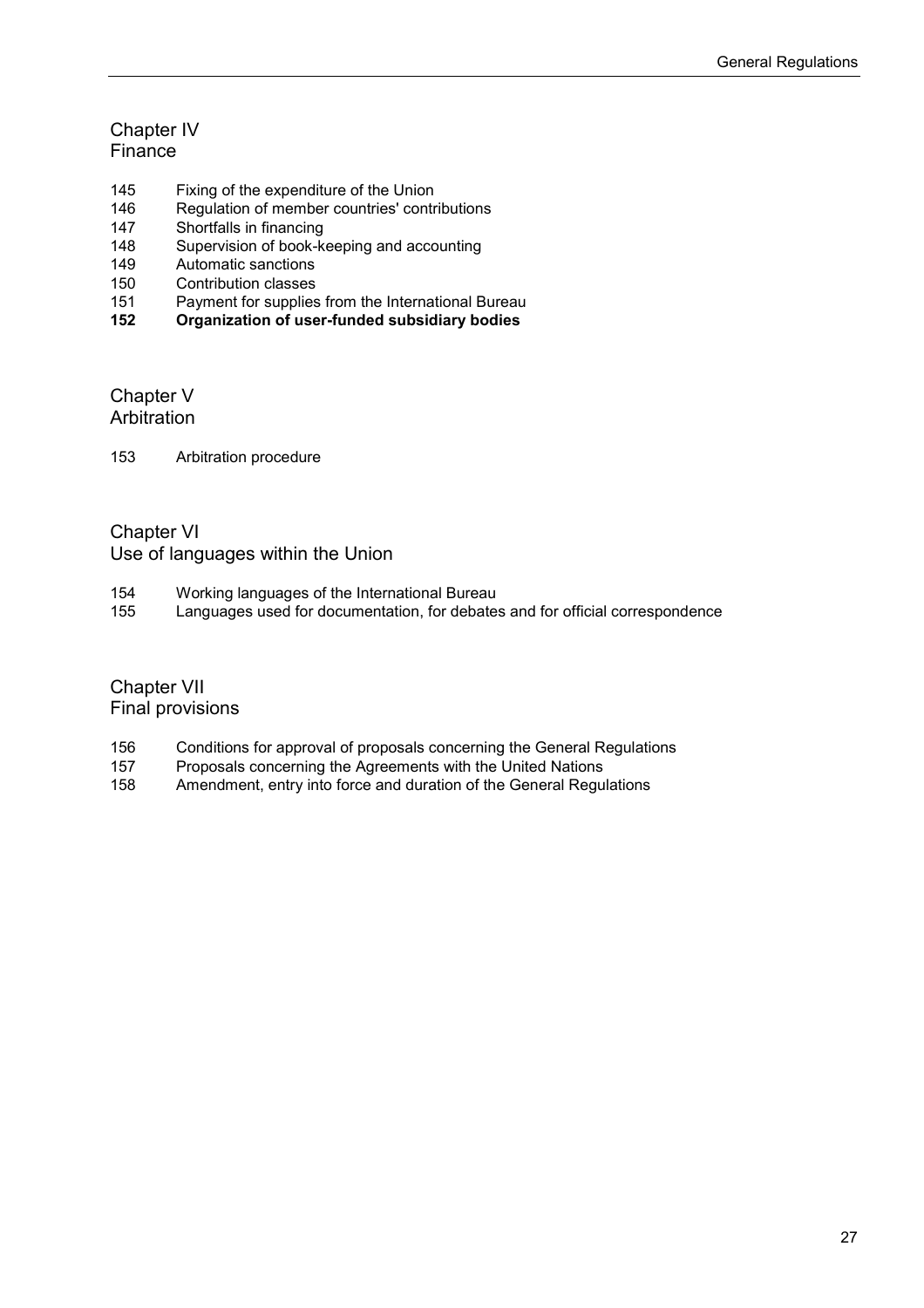# Chapter IV **Finance**

- 145 Fixing of the expenditure of the Union<br>146 Regulation of member countries' contr
- 146 Regulation of member countries' contributions<br>147 Shortfalls in financing
- 147 Shortfalls in financing<br>148 Supervision of book-k
- 148 Supervision of book-keeping and accounting<br>149 Automatic sanctions
- 149 Automatic sanctions<br>150 Contribution classes
- 150 Contribution classes<br>151 Payment for supplies
- 151 Payment for supplies from the International Bureau<br>152 Organization of user-funded subsidiary bodies
- **152 Organization of user-funded subsidiary bodies**

# Chapter V Arbitration

153 Arbitration procedure

# Chapter VI Use of languages within the Union

- 154 Working languages of the International Bureau<br>155 Languages used for documentation, for debates
- Languages used for documentation, for debates and for official correspondence

# Chapter VII Final provisions

- 156 Conditions for approval of proposals concerning the General Regulations<br>157 Proposals concerning the Agreements with the United Nations
- Proposals concerning the Agreements with the United Nations
- 158 Amendment, entry into force and duration of the General Regulations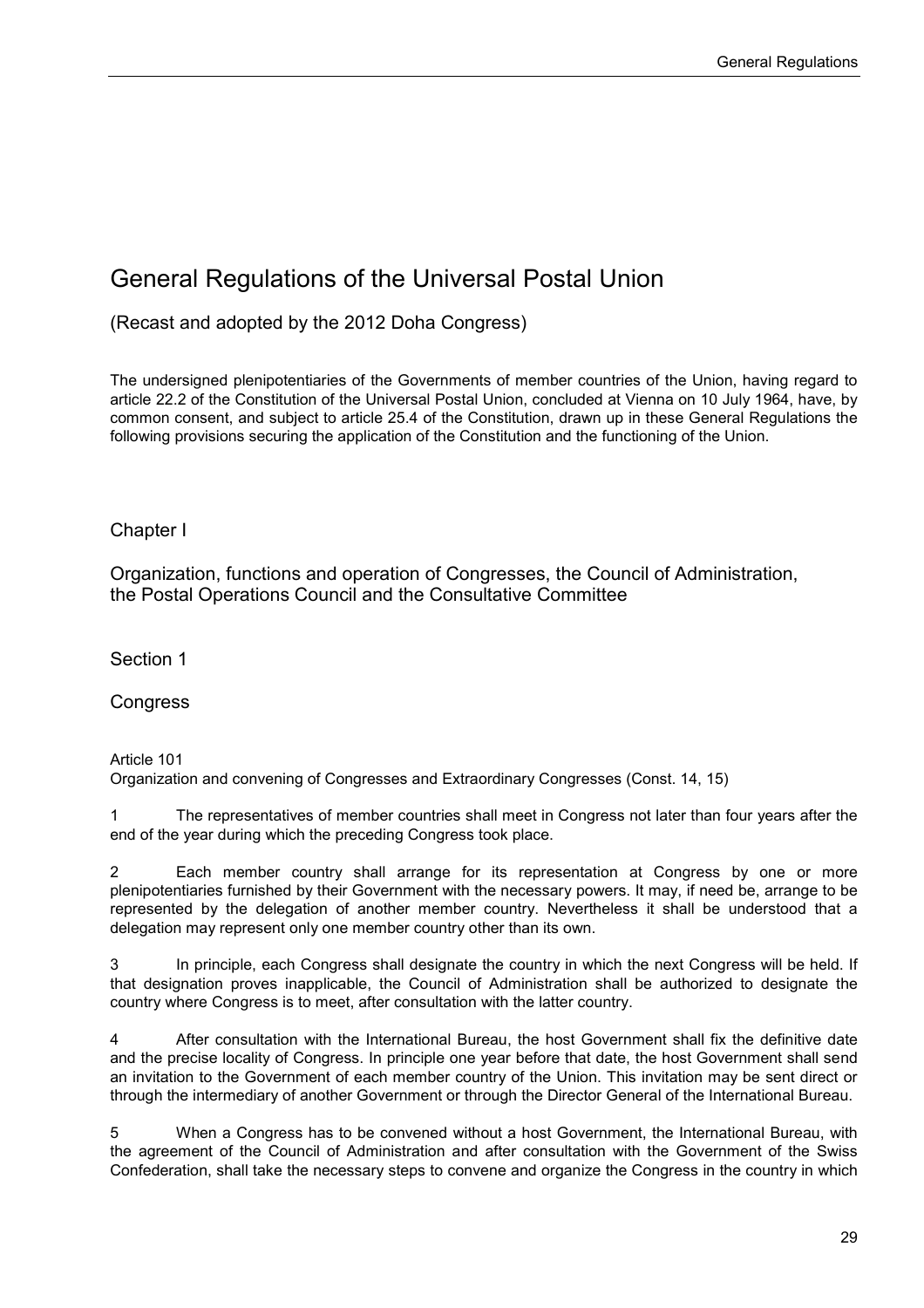# General Regulations of the Universal Postal Union

(Recast and adopted by the 2012 Doha Congress)

The undersigned plenipotentiaries of the Governments of member countries of the Union, having regard to article 22.2 of the Constitution of the Universal Postal Union, concluded at Vienna on 10 July 1964, have, by common consent, and subject to article 25.4 of the Constitution, drawn up in these General Regulations the following provisions securing the application of the Constitution and the functioning of the Union.

# Chapter I

Organization, functions and operation of Congresses, the Council of Administration, the Postal Operations Council and the Consultative Committee

Section 1

Congress

Article 101

Organization and convening of Congresses and Extraordinary Congresses (Const. 14, 15)

1 The representatives of member countries shall meet in Congress not later than four years after the end of the year during which the preceding Congress took place.

2 Each member country shall arrange for its representation at Congress by one or more plenipotentiaries furnished by their Government with the necessary powers. It may, if need be, arrange to be represented by the delegation of another member country. Nevertheless it shall be understood that a delegation may represent only one member country other than its own.

In principle, each Congress shall designate the country in which the next Congress will be held. If that designation proves inapplicable, the Council of Administration shall be authorized to designate the country where Congress is to meet, after consultation with the latter country.

4 After consultation with the International Bureau, the host Government shall fix the definitive date and the precise locality of Congress. In principle one year before that date, the host Government shall send an invitation to the Government of each member country of the Union. This invitation may be sent direct or through the intermediary of another Government or through the Director General of the International Bureau.

5 When a Congress has to be convened without a host Government, the International Bureau, with the agreement of the Council of Administration and after consultation with the Government of the Swiss Confederation, shall take the necessary steps to convene and organize the Congress in the country in which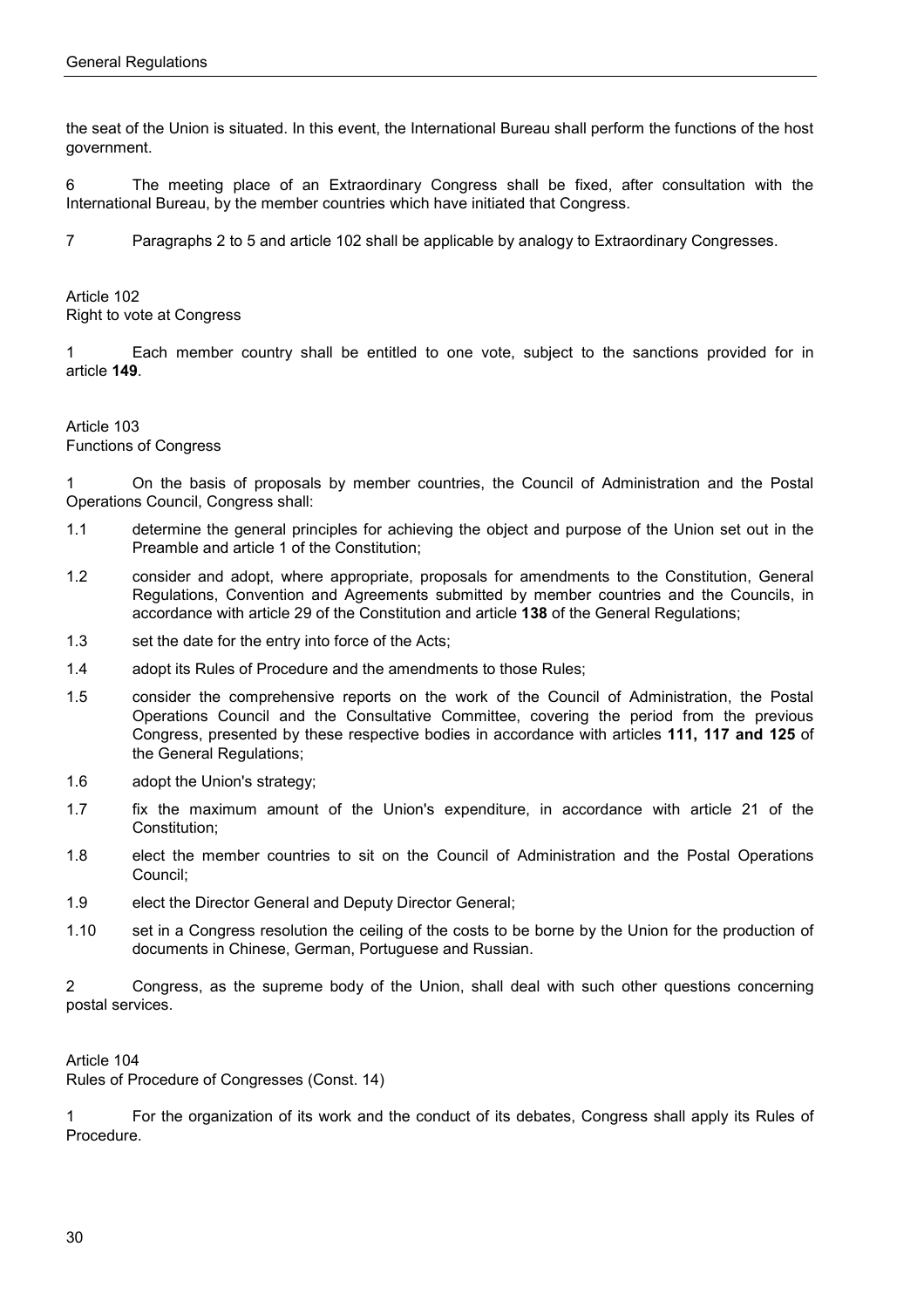the seat of the Union is situated. In this event, the International Bureau shall perform the functions of the host government.

6 The meeting place of an Extraordinary Congress shall be fixed, after consultation with the International Bureau, by the member countries which have initiated that Congress.

7 Paragraphs 2 to 5 and article 102 shall be applicable by analogy to Extraordinary Congresses.

Article 102 Right to vote at Congress

1 Each member country shall be entitled to one vote, subject to the sanctions provided for in article **149**.

#### Article 103 Functions of Congress

1 On the basis of proposals by member countries, the Council of Administration and the Postal Operations Council, Congress shall:

- 1.1 determine the general principles for achieving the object and purpose of the Union set out in the Preamble and article 1 of the Constitution;
- 1.2 consider and adopt, where appropriate, proposals for amendments to the Constitution, General Regulations, Convention and Agreements submitted by member countries and the Councils, in accordance with article 29 of the Constitution and article **138** of the General Regulations;
- 1.3 set the date for the entry into force of the Acts;
- 1.4 adopt its Rules of Procedure and the amendments to those Rules;
- 1.5 consider the comprehensive reports on the work of the Council of Administration, the Postal Operations Council and the Consultative Committee, covering the period from the previous Congress, presented by these respective bodies in accordance with articles **111, 117 and 125** of the General Regulations;
- 1.6 adopt the Union's strategy;
- 1.7 fix the maximum amount of the Union's expenditure, in accordance with article 21 of the Constitution;
- 1.8 elect the member countries to sit on the Council of Administration and the Postal Operations Council;
- 1.9 elect the Director General and Deputy Director General;
- 1.10 set in a Congress resolution the ceiling of the costs to be borne by the Union for the production of documents in Chinese, German, Portuguese and Russian.

2 Congress, as the supreme body of the Union, shall deal with such other questions concerning postal services.

Article 104

Rules of Procedure of Congresses (Const. 14)

1 For the organization of its work and the conduct of its debates, Congress shall apply its Rules of Procedure.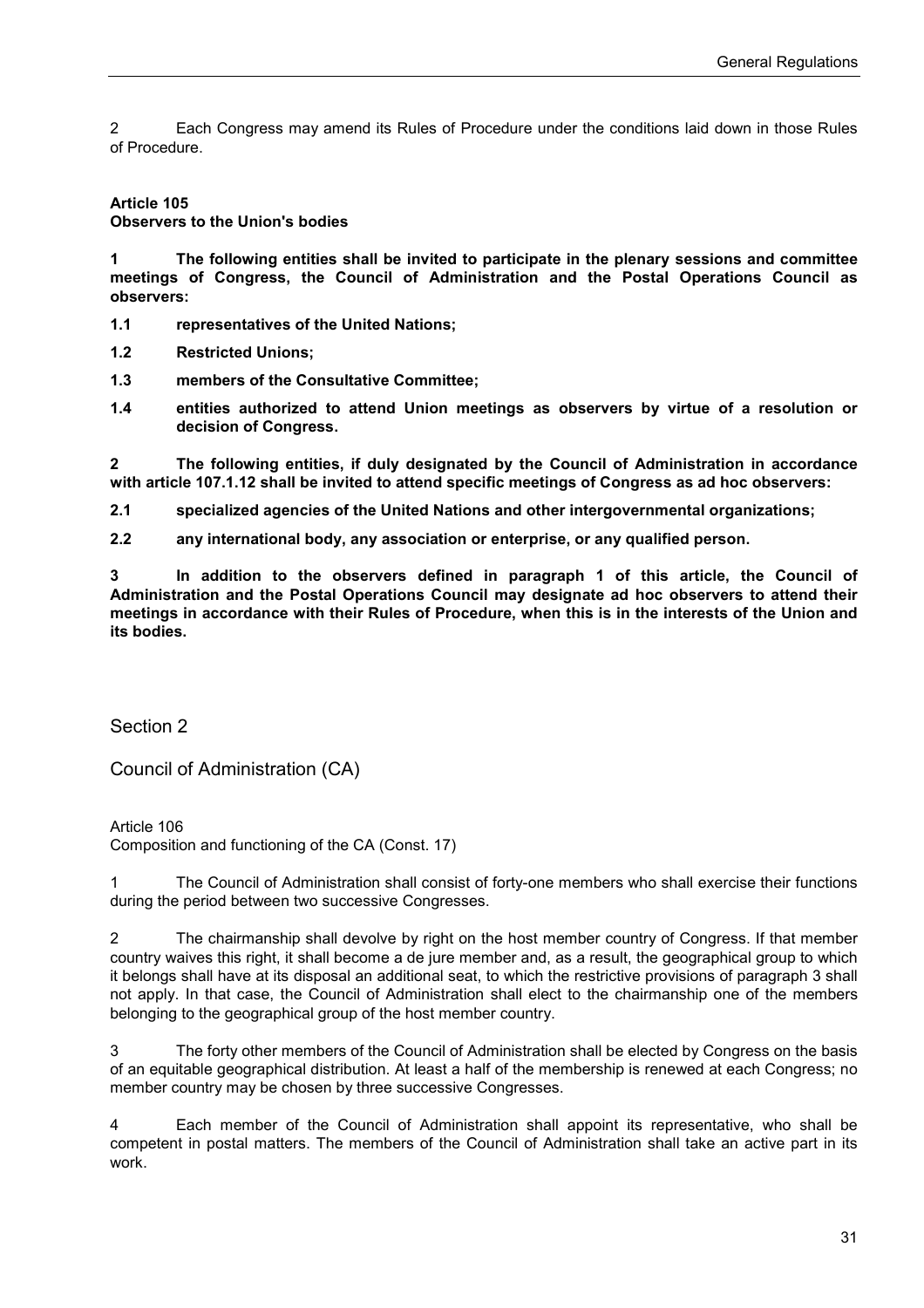2 Each Congress may amend its Rules of Procedure under the conditions laid down in those Rules of Procedure.

#### **Article 105**

**Observers to the Union's bodies** 

**1 The following entities shall be invited to participate in the plenary sessions and committee meetings of Congress, the Council of Administration and the Postal Operations Council as observers:**

**1.1 representatives of the United Nations;**

**1.2 Restricted Unions;** 

**1.3 members of the Consultative Committee;** 

**1.4 entities authorized to attend Union meetings as observers by virtue of a resolution or decision of Congress.** 

**2 The following entities, if duly designated by the Council of Administration in accordance with article 107.1.12 shall be invited to attend specific meetings of Congress as ad hoc observers:** 

**2.1 specialized agencies of the United Nations and other intergovernmental organizations;** 

**2.2 any international body, any association or enterprise, or any qualified person.**

**3 In addition to the observers defined in paragraph 1 of this article, the Council of Administration and the Postal Operations Council may designate ad hoc observers to attend their meetings in accordance with their Rules of Procedure, when this is in the interests of the Union and its bodies.**

Section 2

Council of Administration (CA)

Article 106 Composition and functioning of the CA (Const. 17)

1 The Council of Administration shall consist of forty-one members who shall exercise their functions during the period between two successive Congresses.

2 The chairmanship shall devolve by right on the host member country of Congress. If that member country waives this right, it shall become a de jure member and, as a result, the geographical group to which it belongs shall have at its disposal an additional seat, to which the restrictive provisions of paragraph 3 shall not apply. In that case, the Council of Administration shall elect to the chairmanship one of the members belonging to the geographical group of the host member country.

3 The forty other members of the Council of Administration shall be elected by Congress on the basis of an equitable geographical distribution. At least a half of the membership is renewed at each Congress; no member country may be chosen by three successive Congresses.

4 Each member of the Council of Administration shall appoint its representative, who shall be competent in postal matters. The members of the Council of Administration shall take an active part in its work.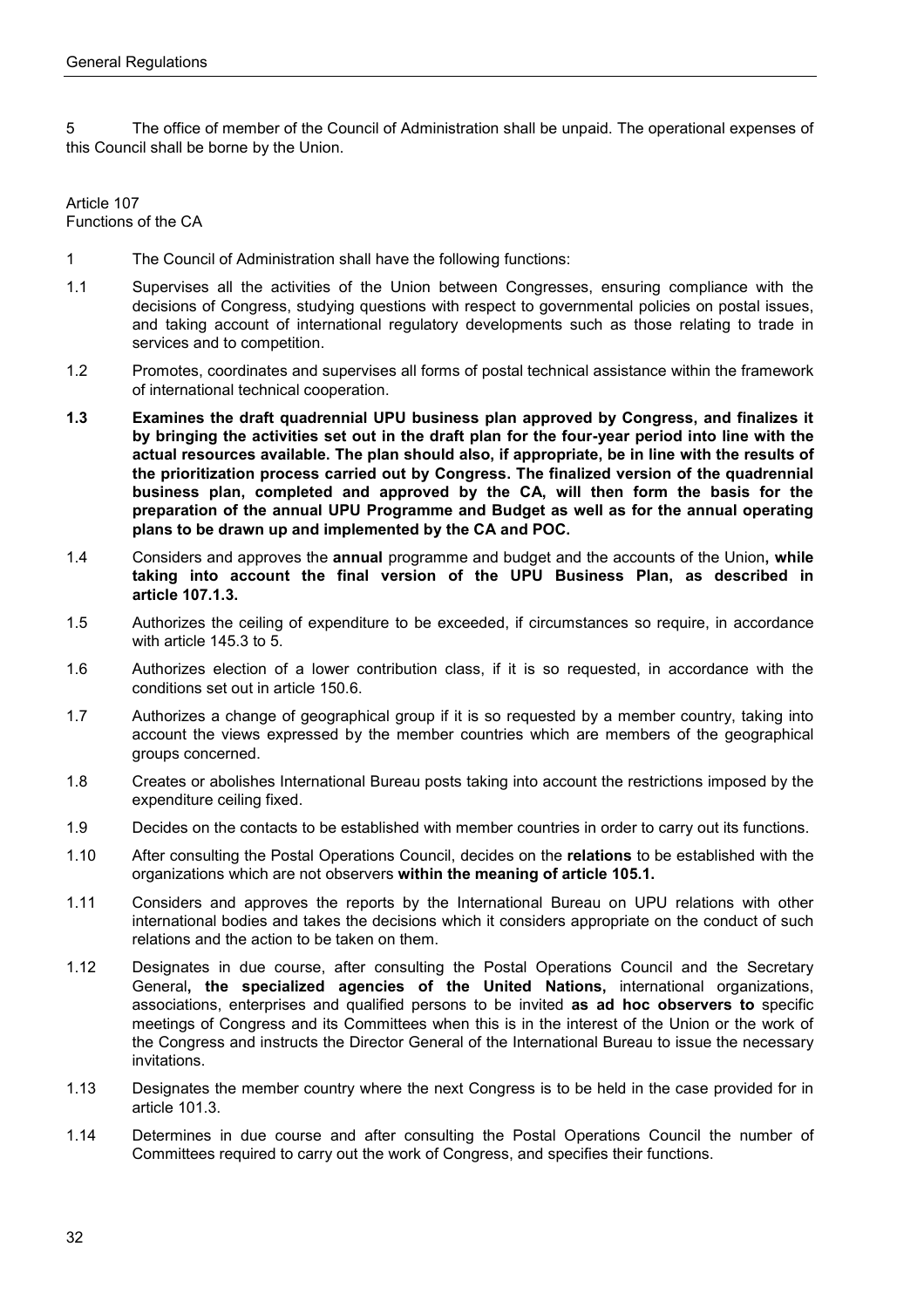5 The office of member of the Council of Administration shall be unpaid. The operational expenses of this Council shall be borne by the Union.

Article 107 Functions of the CA

- 1 The Council of Administration shall have the following functions:
- 1.1 Supervises all the activities of the Union between Congresses, ensuring compliance with the decisions of Congress, studying questions with respect to governmental policies on postal issues, and taking account of international regulatory developments such as those relating to trade in services and to competition.
- 1.2 Promotes, coordinates and supervises all forms of postal technical assistance within the framework of international technical cooperation.
- **1.3 Examines the draft quadrennial UPU business plan approved by Congress, and finalizes it by bringing the activities set out in the draft plan for the four-year period into line with the actual resources available. The plan should also, if appropriate, be in line with the results of the prioritization process carried out by Congress. The finalized version of the quadrennial business plan, completed and approved by the CA, will then form the basis for the preparation of the annual UPU Programme and Budget as well as for the annual operating plans to be drawn up and implemented by the CA and POC.**
- 1.4 Considers and approves the **annual** programme and budget and the accounts of the Union**, while taking into account the final version of the UPU Business Plan, as described in article 107.1.3.**
- 1.5 Authorizes the ceiling of expenditure to be exceeded, if circumstances so require, in accordance with article 145.3 to 5.
- 1.6 Authorizes election of a lower contribution class, if it is so requested, in accordance with the conditions set out in article 150.6.
- 1.7 Authorizes a change of geographical group if it is so requested by a member country, taking into account the views expressed by the member countries which are members of the geographical groups concerned.
- 1.8 Creates or abolishes International Bureau posts taking into account the restrictions imposed by the expenditure ceiling fixed.
- 1.9 Decides on the contacts to be established with member countries in order to carry out its functions.
- 1.10 After consulting the Postal Operations Council, decides on the **relations** to be established with the organizations which are not observers **within the meaning of article 105.1.**
- 1.11 Considers and approves the reports by the International Bureau on UPU relations with other international bodies and takes the decisions which it considers appropriate on the conduct of such relations and the action to be taken on them.
- 1.12 Designates in due course, after consulting the Postal Operations Council and the Secretary General**, the specialized agencies of the United Nations,** international organizations, associations, enterprises and qualified persons to be invited **as ad hoc observers to** specific meetings of Congress and its Committees when this is in the interest of the Union or the work of the Congress and instructs the Director General of the International Bureau to issue the necessary invitations.
- 1.13 Designates the member country where the next Congress is to be held in the case provided for in article 101.3.
- 1.14 Determines in due course and after consulting the Postal Operations Council the number of Committees required to carry out the work of Congress, and specifies their functions.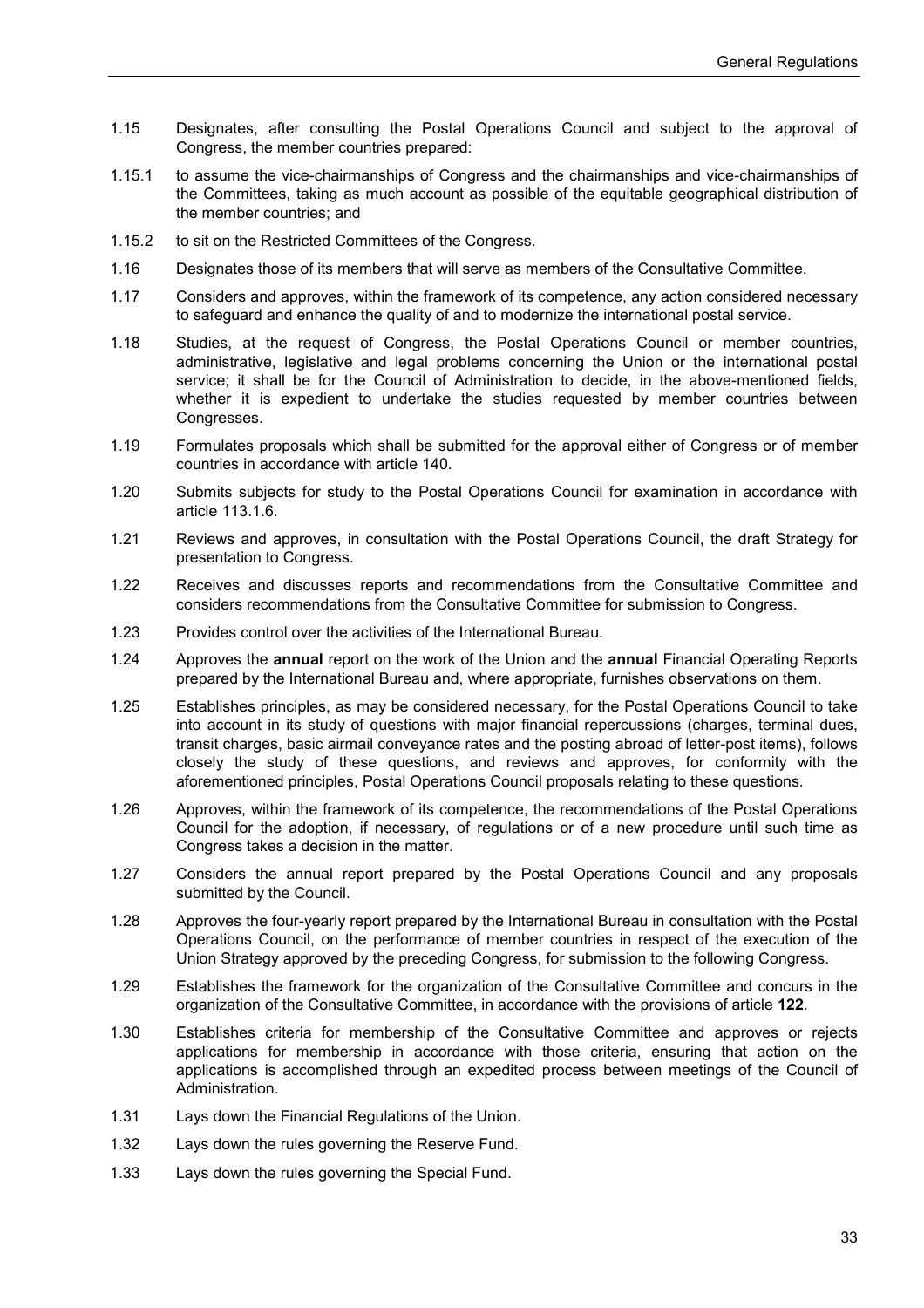- 1.15 Designates, after consulting the Postal Operations Council and subject to the approval of Congress, the member countries prepared:
- 1.15.1 to assume the vice-chairmanships of Congress and the chairmanships and vice-chairmanships of the Committees, taking as much account as possible of the equitable geographical distribution of the member countries; and
- 1.15.2 to sit on the Restricted Committees of the Congress.
- 1.16 Designates those of its members that will serve as members of the Consultative Committee.
- 1.17 Considers and approves, within the framework of its competence, any action considered necessary to safeguard and enhance the quality of and to modernize the international postal service.
- 1.18 Studies, at the request of Congress, the Postal Operations Council or member countries, administrative, legislative and legal problems concerning the Union or the international postal service; it shall be for the Council of Administration to decide, in the above-mentioned fields, whether it is expedient to undertake the studies requested by member countries between Congresses.
- 1.19 Formulates proposals which shall be submitted for the approval either of Congress or of member countries in accordance with article 140.
- 1.20 Submits subjects for study to the Postal Operations Council for examination in accordance with article 113.1.6.
- 1.21 Reviews and approves, in consultation with the Postal Operations Council, the draft Strategy for presentation to Congress.
- 1.22 Receives and discusses reports and recommendations from the Consultative Committee and considers recommendations from the Consultative Committee for submission to Congress.
- 1.23 Provides control over the activities of the International Bureau.
- 1.24 Approves the **annual** report on the work of the Union and the **annual** Financial Operating Reports prepared by the International Bureau and, where appropriate, furnishes observations on them.
- 1.25 Establishes principles, as may be considered necessary, for the Postal Operations Council to take into account in its study of questions with major financial repercussions (charges, terminal dues, transit charges, basic airmail conveyance rates and the posting abroad of letter-post items), follows closely the study of these questions, and reviews and approves, for conformity with the aforementioned principles, Postal Operations Council proposals relating to these questions.
- 1.26 Approves, within the framework of its competence, the recommendations of the Postal Operations Council for the adoption, if necessary, of regulations or of a new procedure until such time as Congress takes a decision in the matter.
- 1.27 Considers the annual report prepared by the Postal Operations Council and any proposals submitted by the Council.
- 1.28 Approves the four-yearly report prepared by the International Bureau in consultation with the Postal Operations Council, on the performance of member countries in respect of the execution of the Union Strategy approved by the preceding Congress, for submission to the following Congress.
- 1.29 Establishes the framework for the organization of the Consultative Committee and concurs in the organization of the Consultative Committee, in accordance with the provisions of article **122**.
- 1.30 Establishes criteria for membership of the Consultative Committee and approves or rejects applications for membership in accordance with those criteria, ensuring that action on the applications is accomplished through an expedited process between meetings of the Council of Administration.
- 1.31 Lays down the Financial Regulations of the Union.
- 1.32 Lays down the rules governing the Reserve Fund.
- 1.33 Lays down the rules governing the Special Fund.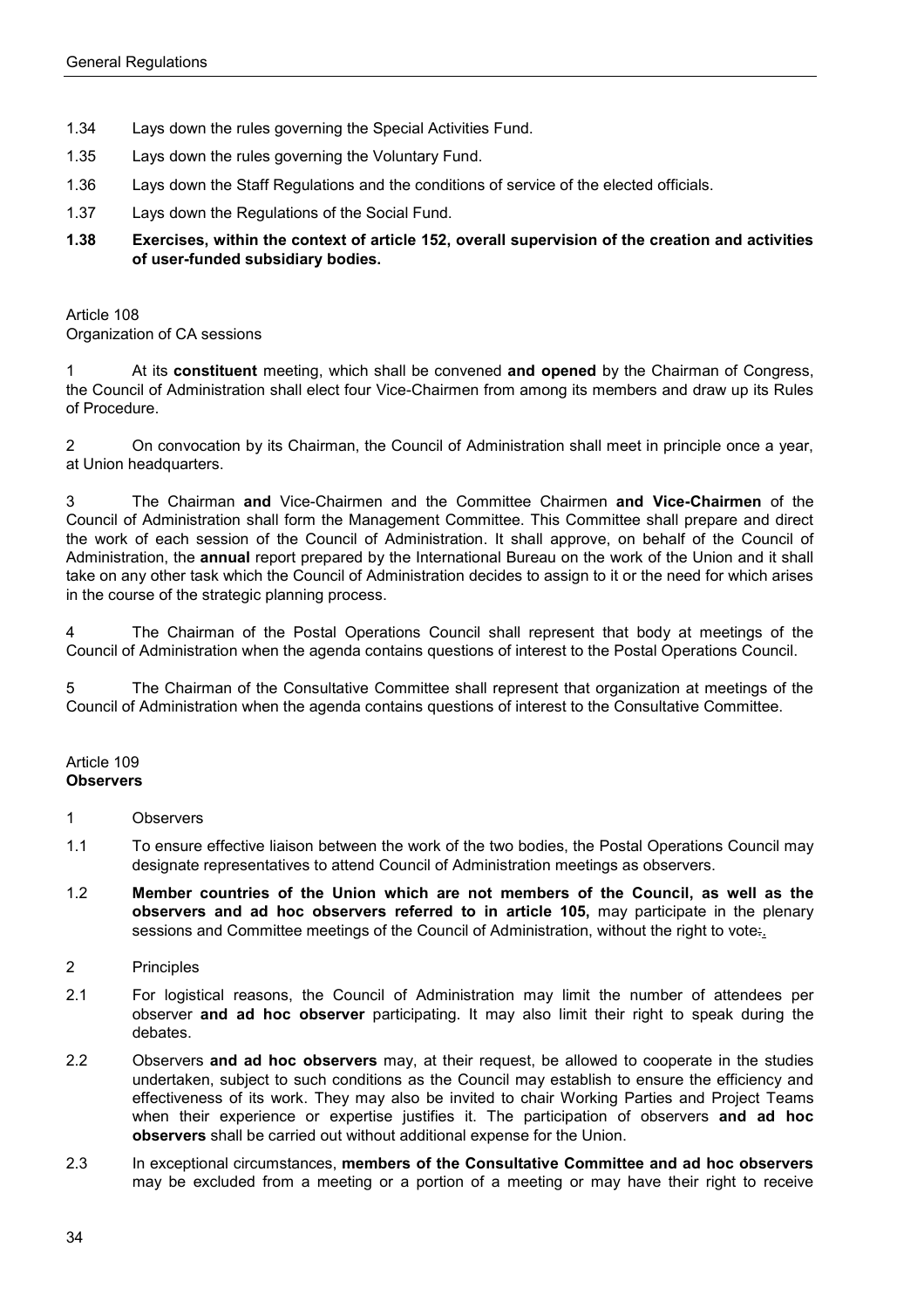- 1.34 Lays down the rules governing the Special Activities Fund.
- 1.35 Lays down the rules governing the Voluntary Fund.
- 1.36 Lays down the Staff Regulations and the conditions of service of the elected officials.
- 1.37 Lays down the Regulations of the Social Fund.
- **1.38 Exercises, within the context of article 152, overall supervision of the creation and activities of user-funded subsidiary bodies.**

Article 108 Organization of CA sessions

1 At its **constituent** meeting, which shall be convened **and opened** by the Chairman of Congress, the Council of Administration shall elect four Vice-Chairmen from among its members and draw up its Rules of Procedure.

2 On convocation by its Chairman, the Council of Administration shall meet in principle once a year, at Union headquarters.

3 The Chairman **and** Vice-Chairmen and the Committee Chairmen **and Vice-Chairmen** of the Council of Administration shall form the Management Committee. This Committee shall prepare and direct the work of each session of the Council of Administration. It shall approve, on behalf of the Council of Administration, the **annual** report prepared by the International Bureau on the work of the Union and it shall take on any other task which the Council of Administration decides to assign to it or the need for which arises in the course of the strategic planning process.

4 The Chairman of the Postal Operations Council shall represent that body at meetings of the Council of Administration when the agenda contains questions of interest to the Postal Operations Council.

5 The Chairman of the Consultative Committee shall represent that organization at meetings of the Council of Administration when the agenda contains questions of interest to the Consultative Committee.

#### Article 109 **Observers**

- 1 Observers
- 1.1 To ensure effective liaison between the work of the two bodies, the Postal Operations Council may designate representatives to attend Council of Administration meetings as observers.
- 1.2 **Member countries of the Union which are not members of the Council, as well as the observers and ad hoc observers referred to in article 105,** may participate in the plenary sessions and Committee meetings of the Council of Administration, without the right to vote.
- 2 Principles
- 2.1 For logistical reasons, the Council of Administration may limit the number of attendees per observer **and ad hoc observer** participating. It may also limit their right to speak during the debates.
- 2.2 Observers **and ad hoc observers** may, at their request, be allowed to cooperate in the studies undertaken, subject to such conditions as the Council may establish to ensure the efficiency and effectiveness of its work. They may also be invited to chair Working Parties and Project Teams when their experience or expertise justifies it. The participation of observers **and ad hoc observers** shall be carried out without additional expense for the Union.
- 2.3 In exceptional circumstances, **members of the Consultative Committee and ad hoc observers** may be excluded from a meeting or a portion of a meeting or may have their right to receive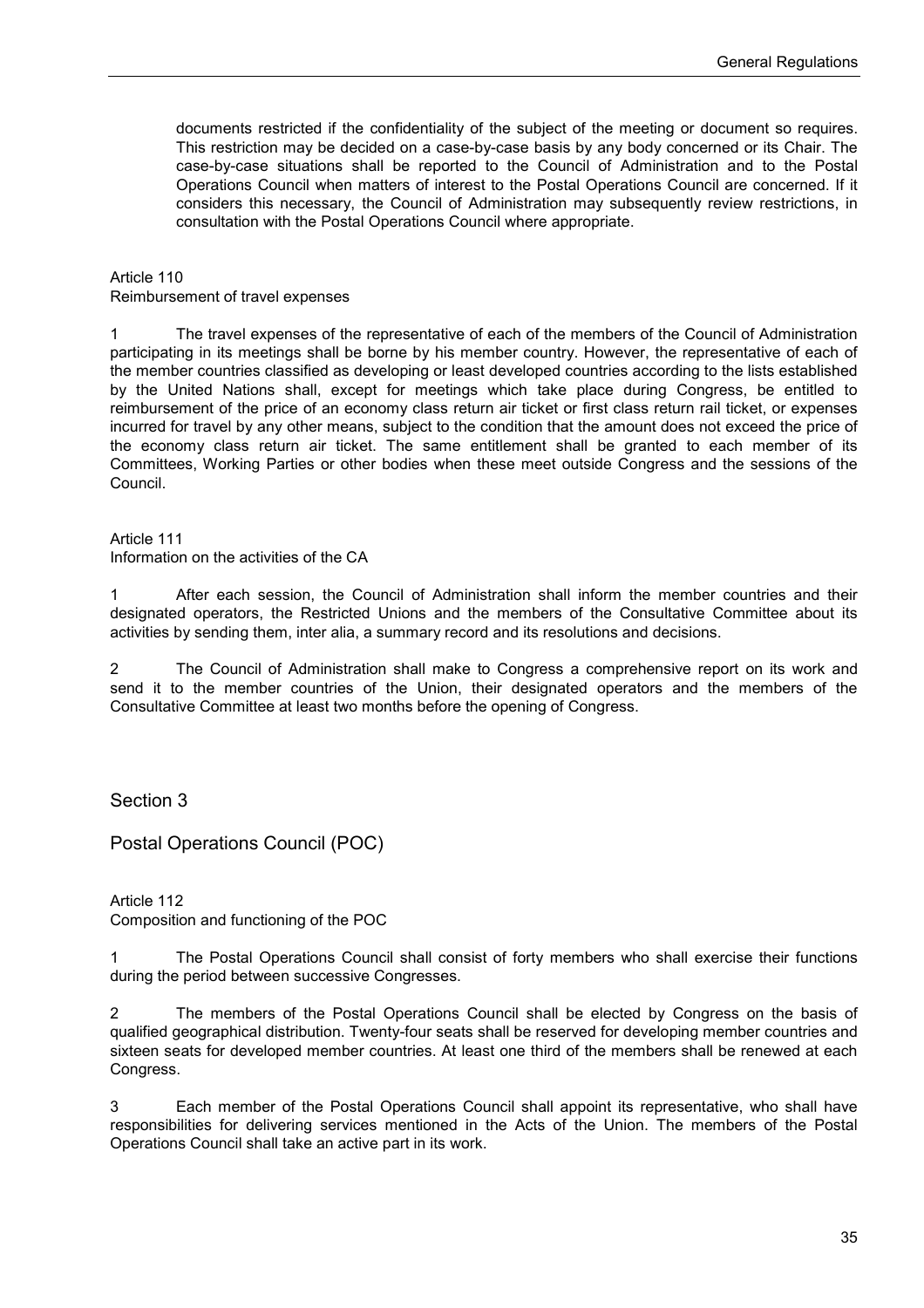documents restricted if the confidentiality of the subject of the meeting or document so requires. This restriction may be decided on a case-by-case basis by any body concerned or its Chair. The case-by-case situations shall be reported to the Council of Administration and to the Postal Operations Council when matters of interest to the Postal Operations Council are concerned. If it considers this necessary, the Council of Administration may subsequently review restrictions, in consultation with the Postal Operations Council where appropriate.

Article 110

Reimbursement of travel expenses

1 The travel expenses of the representative of each of the members of the Council of Administration participating in its meetings shall be borne by his member country. However, the representative of each of the member countries classified as developing or least developed countries according to the lists established by the United Nations shall, except for meetings which take place during Congress, be entitled to reimbursement of the price of an economy class return air ticket or first class return rail ticket, or expenses incurred for travel by any other means, subject to the condition that the amount does not exceed the price of the economy class return air ticket. The same entitlement shall be granted to each member of its Committees, Working Parties or other bodies when these meet outside Congress and the sessions of the Council.

Article 111

Information on the activities of the CA

1 After each session, the Council of Administration shall inform the member countries and their designated operators, the Restricted Unions and the members of the Consultative Committee about its activities by sending them, inter alia, a summary record and its resolutions and decisions.

2 The Council of Administration shall make to Congress a comprehensive report on its work and send it to the member countries of the Union, their designated operators and the members of the Consultative Committee at least two months before the opening of Congress.

Section 3

Postal Operations Council (POC)

Article 112 Composition and functioning of the POC

1 The Postal Operations Council shall consist of forty members who shall exercise their functions during the period between successive Congresses.

2 The members of the Postal Operations Council shall be elected by Congress on the basis of qualified geographical distribution. Twenty-four seats shall be reserved for developing member countries and sixteen seats for developed member countries. At least one third of the members shall be renewed at each Congress.

3 Each member of the Postal Operations Council shall appoint its representative, who shall have responsibilities for delivering services mentioned in the Acts of the Union. The members of the Postal Operations Council shall take an active part in its work.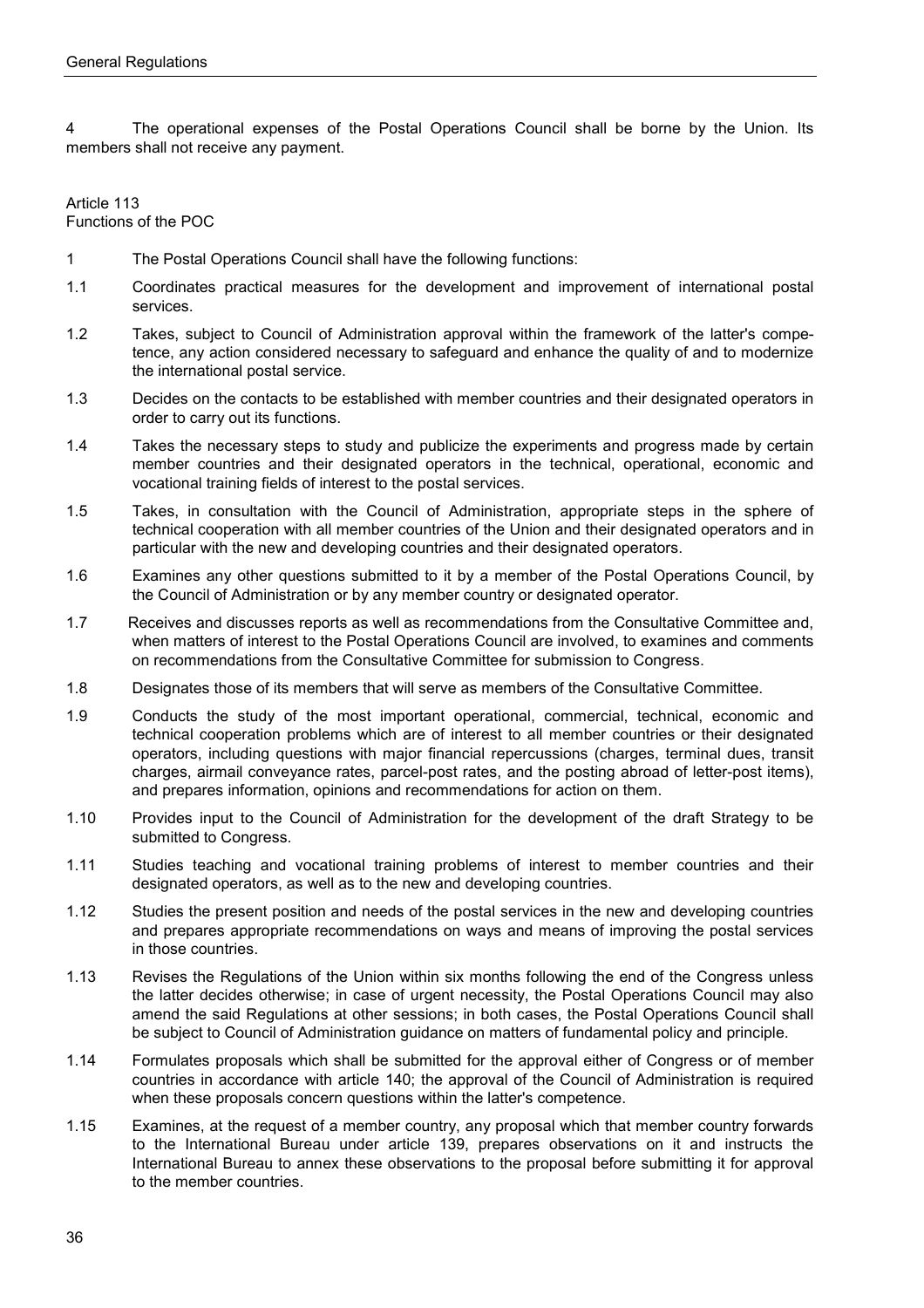4 The operational expenses of the Postal Operations Council shall be borne by the Union. Its members shall not receive any payment.

Article 113 Functions of the POC

- 1 The Postal Operations Council shall have the following functions:
- 1.1 Coordinates practical measures for the development and improvement of international postal services.
- 1.2 Takes, subject to Council of Administration approval within the framework of the latter's competence, any action considered necessary to safeguard and enhance the quality of and to modernize the international postal service.
- 1.3 Decides on the contacts to be established with member countries and their designated operators in order to carry out its functions.
- 1.4 Takes the necessary steps to study and publicize the experiments and progress made by certain member countries and their designated operators in the technical, operational, economic and vocational training fields of interest to the postal services.
- 1.5 Takes, in consultation with the Council of Administration, appropriate steps in the sphere of technical cooperation with all member countries of the Union and their designated operators and in particular with the new and developing countries and their designated operators.
- 1.6 Examines any other questions submitted to it by a member of the Postal Operations Council, by the Council of Administration or by any member country or designated operator.
- 1.7 Receives and discusses reports as well as recommendations from the Consultative Committee and, when matters of interest to the Postal Operations Council are involved, to examines and comments on recommendations from the Consultative Committee for submission to Congress.
- 1.8 Designates those of its members that will serve as members of the Consultative Committee.
- 1.9 Conducts the study of the most important operational, commercial, technical, economic and technical cooperation problems which are of interest to all member countries or their designated operators, including questions with major financial repercussions (charges, terminal dues, transit charges, airmail conveyance rates, parcel-post rates, and the posting abroad of letter-post items), and prepares information, opinions and recommendations for action on them.
- 1.10 Provides input to the Council of Administration for the development of the draft Strategy to be submitted to Congress.
- 1.11 Studies teaching and vocational training problems of interest to member countries and their designated operators, as well as to the new and developing countries.
- 1.12 Studies the present position and needs of the postal services in the new and developing countries and prepares appropriate recommendations on ways and means of improving the postal services in those countries.
- 1.13 Revises the Regulations of the Union within six months following the end of the Congress unless the latter decides otherwise; in case of urgent necessity, the Postal Operations Council may also amend the said Regulations at other sessions; in both cases, the Postal Operations Council shall be subject to Council of Administration guidance on matters of fundamental policy and principle.
- 1.14 Formulates proposals which shall be submitted for the approval either of Congress or of member countries in accordance with article 140; the approval of the Council of Administration is required when these proposals concern questions within the latter's competence.
- 1.15 Examines, at the request of a member country, any proposal which that member country forwards to the International Bureau under article 139, prepares observations on it and instructs the International Bureau to annex these observations to the proposal before submitting it for approval to the member countries.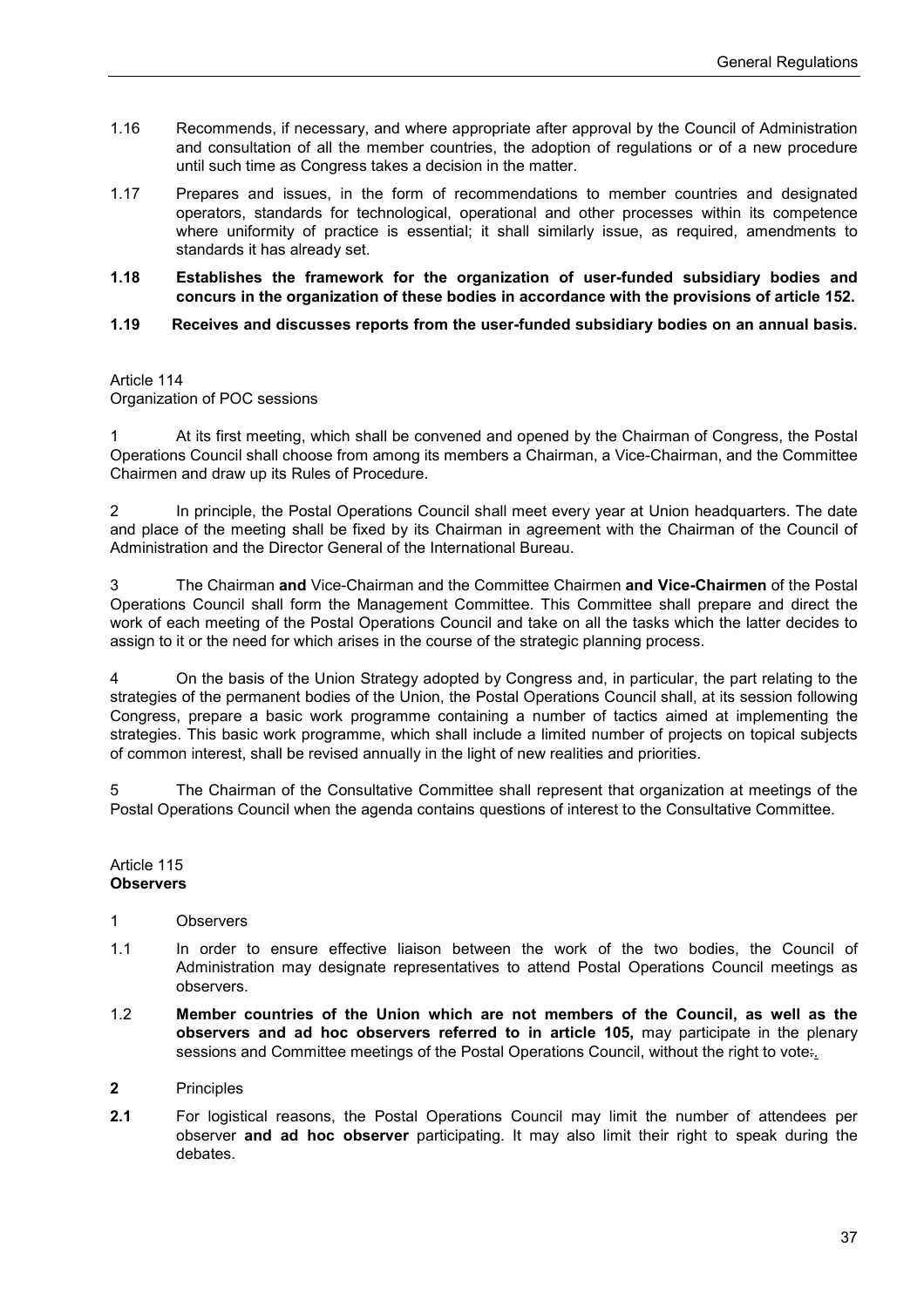- 1.16 Recommends, if necessary, and where appropriate after approval by the Council of Administration and consultation of all the member countries, the adoption of regulations or of a new procedure until such time as Congress takes a decision in the matter.
- 1.17 Prepares and issues, in the form of recommendations to member countries and designated operators, standards for technological, operational and other processes within its competence where uniformity of practice is essential; it shall similarly issue, as required, amendments to standards it has already set.
- **1.18 Establishes the framework for the organization of user-funded subsidiary bodies and concurs in the organization of these bodies in accordance with the provisions of article 152.**
- **1.19 Receives and discusses reports from the user-funded subsidiary bodies on an annual basis.**

#### Article 114 Organization of POC sessions

At its first meeting, which shall be convened and opened by the Chairman of Congress, the Postal Operations Council shall choose from among its members a Chairman, a Vice-Chairman, and the Committee Chairmen and draw up its Rules of Procedure.

2 In principle, the Postal Operations Council shall meet every year at Union headquarters. The date and place of the meeting shall be fixed by its Chairman in agreement with the Chairman of the Council of Administration and the Director General of the International Bureau.

3 The Chairman **and** Vice-Chairman and the Committee Chairmen **and Vice-Chairmen** of the Postal Operations Council shall form the Management Committee. This Committee shall prepare and direct the work of each meeting of the Postal Operations Council and take on all the tasks which the latter decides to assign to it or the need for which arises in the course of the strategic planning process.

4 On the basis of the Union Strategy adopted by Congress and, in particular, the part relating to the strategies of the permanent bodies of the Union, the Postal Operations Council shall, at its session following Congress, prepare a basic work programme containing a number of tactics aimed at implementing the strategies. This basic work programme, which shall include a limited number of projects on topical subjects of common interest, shall be revised annually in the light of new realities and priorities.

The Chairman of the Consultative Committee shall represent that organization at meetings of the Postal Operations Council when the agenda contains questions of interest to the Consultative Committee.

#### Article 115 **Observers**

#### 1 Observers

- 1.1 In order to ensure effective liaison between the work of the two bodies, the Council of Administration may designate representatives to attend Postal Operations Council meetings as observers.
- 1.2 **Member countries of the Union which are not members of the Council, as well as the observers and ad hoc observers referred to in article 105,** may participate in the plenary sessions and Committee meetings of the Postal Operations Council, without the right to vote:.

#### **2** Principles

**2.1** For logistical reasons, the Postal Operations Council may limit the number of attendees per observer **and ad hoc observer** participating. It may also limit their right to speak during the debates.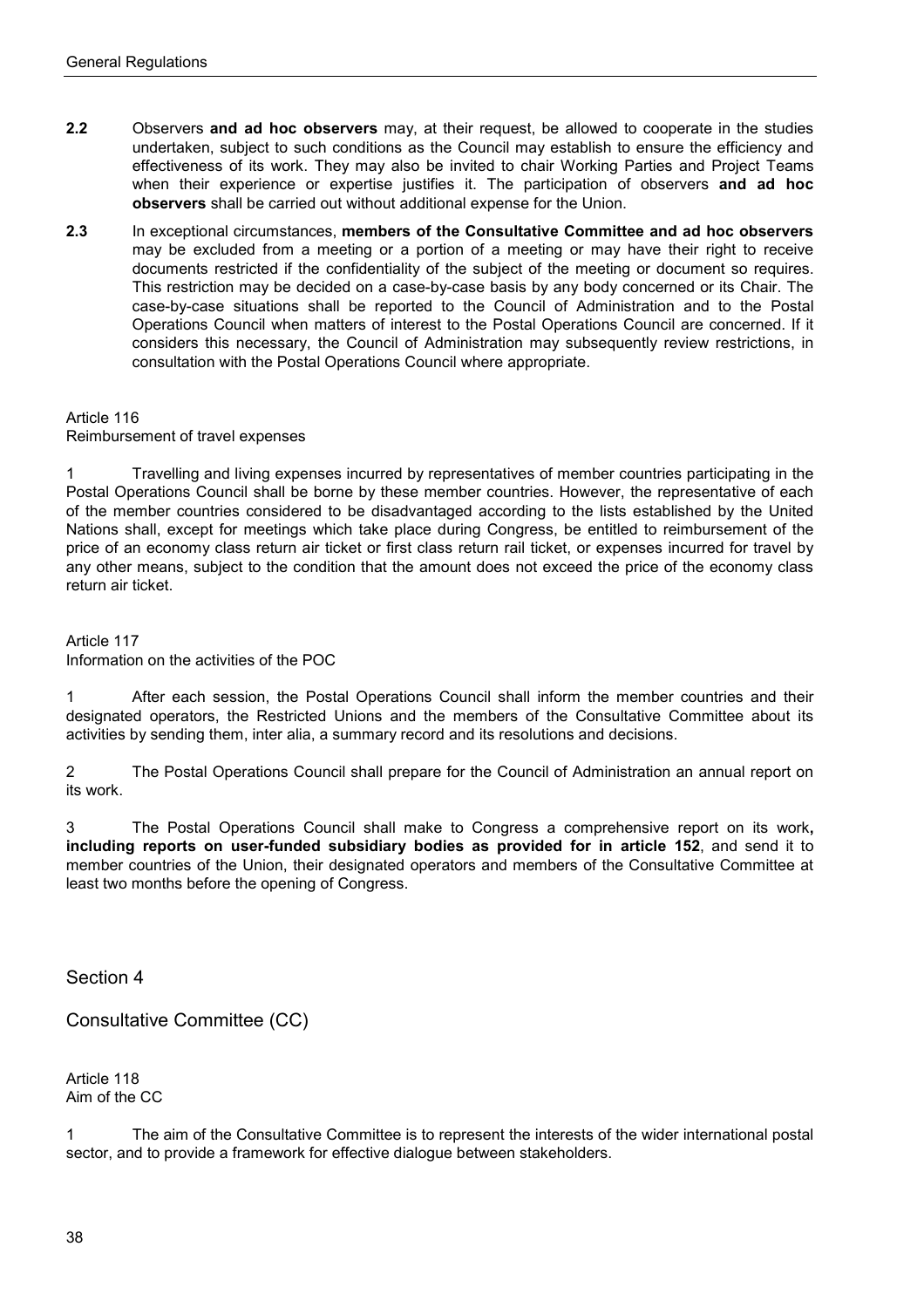- **2.2** Observers **and ad hoc observers** may, at their request, be allowed to cooperate in the studies undertaken, subject to such conditions as the Council may establish to ensure the efficiency and effectiveness of its work. They may also be invited to chair Working Parties and Project Teams when their experience or expertise justifies it. The participation of observers **and ad hoc observers** shall be carried out without additional expense for the Union.
- **2.3** In exceptional circumstances, **members of the Consultative Committee and ad hoc observers**  may be excluded from a meeting or a portion of a meeting or may have their right to receive documents restricted if the confidentiality of the subject of the meeting or document so requires. This restriction may be decided on a case-by-case basis by any body concerned or its Chair. The case-by-case situations shall be reported to the Council of Administration and to the Postal Operations Council when matters of interest to the Postal Operations Council are concerned. If it considers this necessary, the Council of Administration may subsequently review restrictions, in consultation with the Postal Operations Council where appropriate.

#### Article 116 Reimbursement of travel expenses

1 Travelling and living expenses incurred by representatives of member countries participating in the Postal Operations Council shall be borne by these member countries. However, the representative of each of the member countries considered to be disadvantaged according to the lists established by the United Nations shall, except for meetings which take place during Congress, be entitled to reimbursement of the price of an economy class return air ticket or first class return rail ticket, or expenses incurred for travel by any other means, subject to the condition that the amount does not exceed the price of the economy class return air ticket.

Article 117 Information on the activities of the POC

1 After each session, the Postal Operations Council shall inform the member countries and their designated operators, the Restricted Unions and the members of the Consultative Committee about its activities by sending them, inter alia, a summary record and its resolutions and decisions.

2 The Postal Operations Council shall prepare for the Council of Administration an annual report on its work.

3 The Postal Operations Council shall make to Congress a comprehensive report on its work**, including reports on user-funded subsidiary bodies as provided for in article 152**, and send it to member countries of the Union, their designated operators and members of the Consultative Committee at least two months before the opening of Congress.

Section 4

Consultative Committee (CC)

Article 118 Aim of the CC

1 The aim of the Consultative Committee is to represent the interests of the wider international postal sector, and to provide a framework for effective dialogue between stakeholders.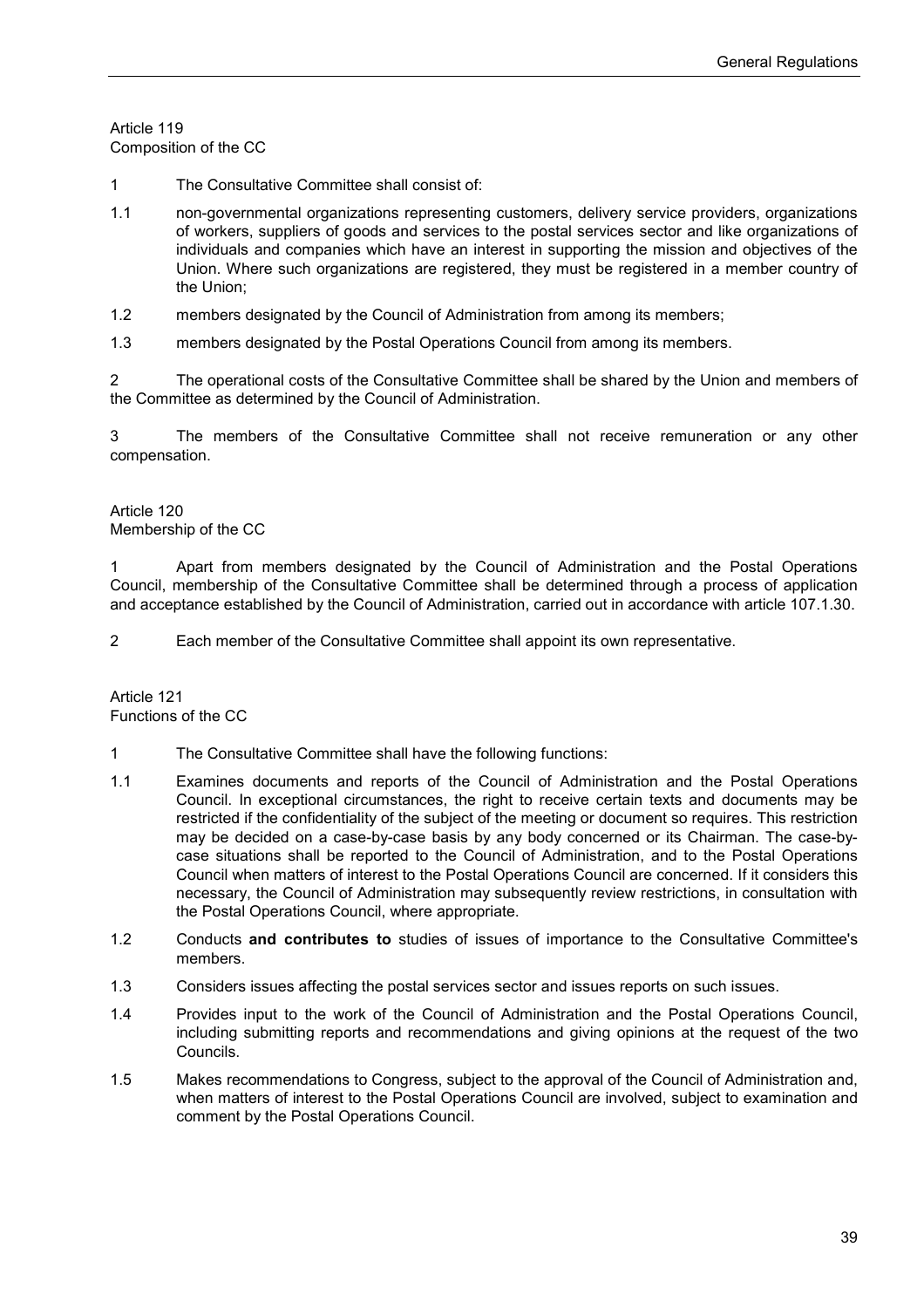Article 119 Composition of the CC

- 1 The Consultative Committee shall consist of:
- 1.1 non-governmental organizations representing customers, delivery service providers, organizations of workers, suppliers of goods and services to the postal services sector and like organizations of individuals and companies which have an interest in supporting the mission and objectives of the Union. Where such organizations are registered, they must be registered in a member country of the Union;
- 1.2 members designated by the Council of Administration from among its members;
- 1.3 members designated by the Postal Operations Council from among its members.

2 The operational costs of the Consultative Committee shall be shared by the Union and members of the Committee as determined by the Council of Administration.

3 The members of the Consultative Committee shall not receive remuneration or any other compensation.

Article 120 Membership of the CC

1 Apart from members designated by the Council of Administration and the Postal Operations Council, membership of the Consultative Committee shall be determined through a process of application and acceptance established by the Council of Administration, carried out in accordance with article 107.1.30.

2 Each member of the Consultative Committee shall appoint its own representative.

Article 121 Functions of the CC

- 1 The Consultative Committee shall have the following functions:
- 1.1 Examines documents and reports of the Council of Administration and the Postal Operations Council. In exceptional circumstances, the right to receive certain texts and documents may be restricted if the confidentiality of the subject of the meeting or document so requires. This restriction may be decided on a case-by-case basis by any body concerned or its Chairman. The case-bycase situations shall be reported to the Council of Administration, and to the Postal Operations Council when matters of interest to the Postal Operations Council are concerned. If it considers this necessary, the Council of Administration may subsequently review restrictions, in consultation with the Postal Operations Council, where appropriate.
- 1.2 Conducts **and contributes to** studies of issues of importance to the Consultative Committee's members.
- 1.3 Considers issues affecting the postal services sector and issues reports on such issues.
- 1.4 Provides input to the work of the Council of Administration and the Postal Operations Council, including submitting reports and recommendations and giving opinions at the request of the two Councils.
- 1.5 Makes recommendations to Congress, subject to the approval of the Council of Administration and, when matters of interest to the Postal Operations Council are involved, subject to examination and comment by the Postal Operations Council.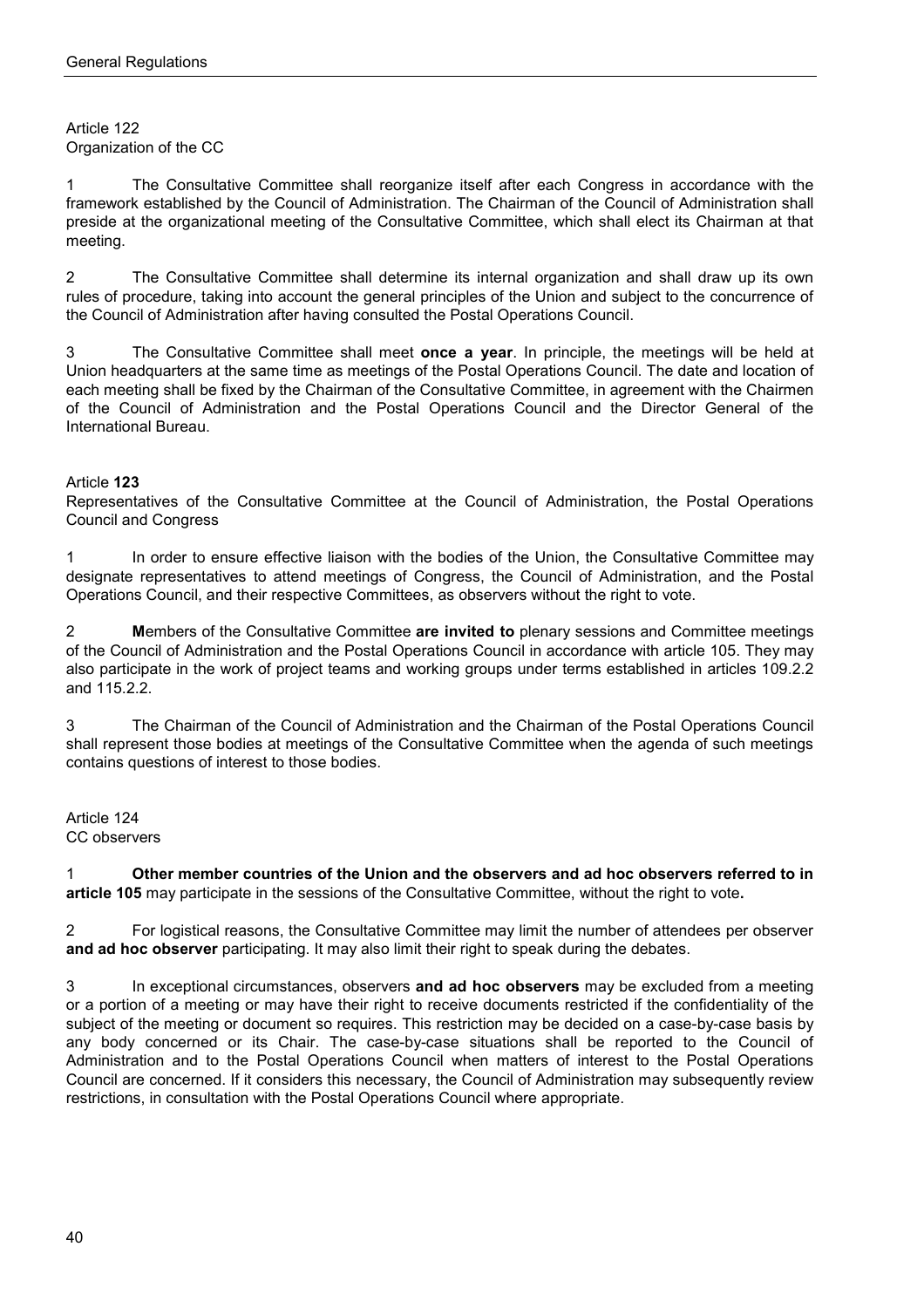#### Article 122 Organization of the CC

1 The Consultative Committee shall reorganize itself after each Congress in accordance with the framework established by the Council of Administration. The Chairman of the Council of Administration shall preside at the organizational meeting of the Consultative Committee, which shall elect its Chairman at that meeting.

2 The Consultative Committee shall determine its internal organization and shall draw up its own rules of procedure, taking into account the general principles of the Union and subject to the concurrence of the Council of Administration after having consulted the Postal Operations Council.

3 The Consultative Committee shall meet **once a year**. In principle, the meetings will be held at Union headquarters at the same time as meetings of the Postal Operations Council. The date and location of each meeting shall be fixed by the Chairman of the Consultative Committee, in agreement with the Chairmen of the Council of Administration and the Postal Operations Council and the Director General of the International Bureau.

## Article **123**

Representatives of the Consultative Committee at the Council of Administration, the Postal Operations Council and Congress

1 In order to ensure effective liaison with the bodies of the Union, the Consultative Committee may designate representatives to attend meetings of Congress, the Council of Administration, and the Postal Operations Council, and their respective Committees, as observers without the right to vote.

2 **M**embers of the Consultative Committee **are invited to** plenary sessions and Committee meetings of the Council of Administration and the Postal Operations Council in accordance with article 105. They may also participate in the work of project teams and working groups under terms established in articles 109.2.2 and 115.2.2.

3 The Chairman of the Council of Administration and the Chairman of the Postal Operations Council shall represent those bodies at meetings of the Consultative Committee when the agenda of such meetings contains questions of interest to those bodies.

Article 124 CC observers

1 **Other member countries of the Union and the observers and ad hoc observers referred to in article 105** may participate in the sessions of the Consultative Committee, without the right to vote**.**

2 For logistical reasons, the Consultative Committee may limit the number of attendees per observer **and ad hoc observer** participating. It may also limit their right to speak during the debates.

3 In exceptional circumstances, observers **and ad hoc observers** may be excluded from a meeting or a portion of a meeting or may have their right to receive documents restricted if the confidentiality of the subject of the meeting or document so requires. This restriction may be decided on a case-by-case basis by any body concerned or its Chair. The case-by-case situations shall be reported to the Council of Administration and to the Postal Operations Council when matters of interest to the Postal Operations Council are concerned. If it considers this necessary, the Council of Administration may subsequently review restrictions, in consultation with the Postal Operations Council where appropriate.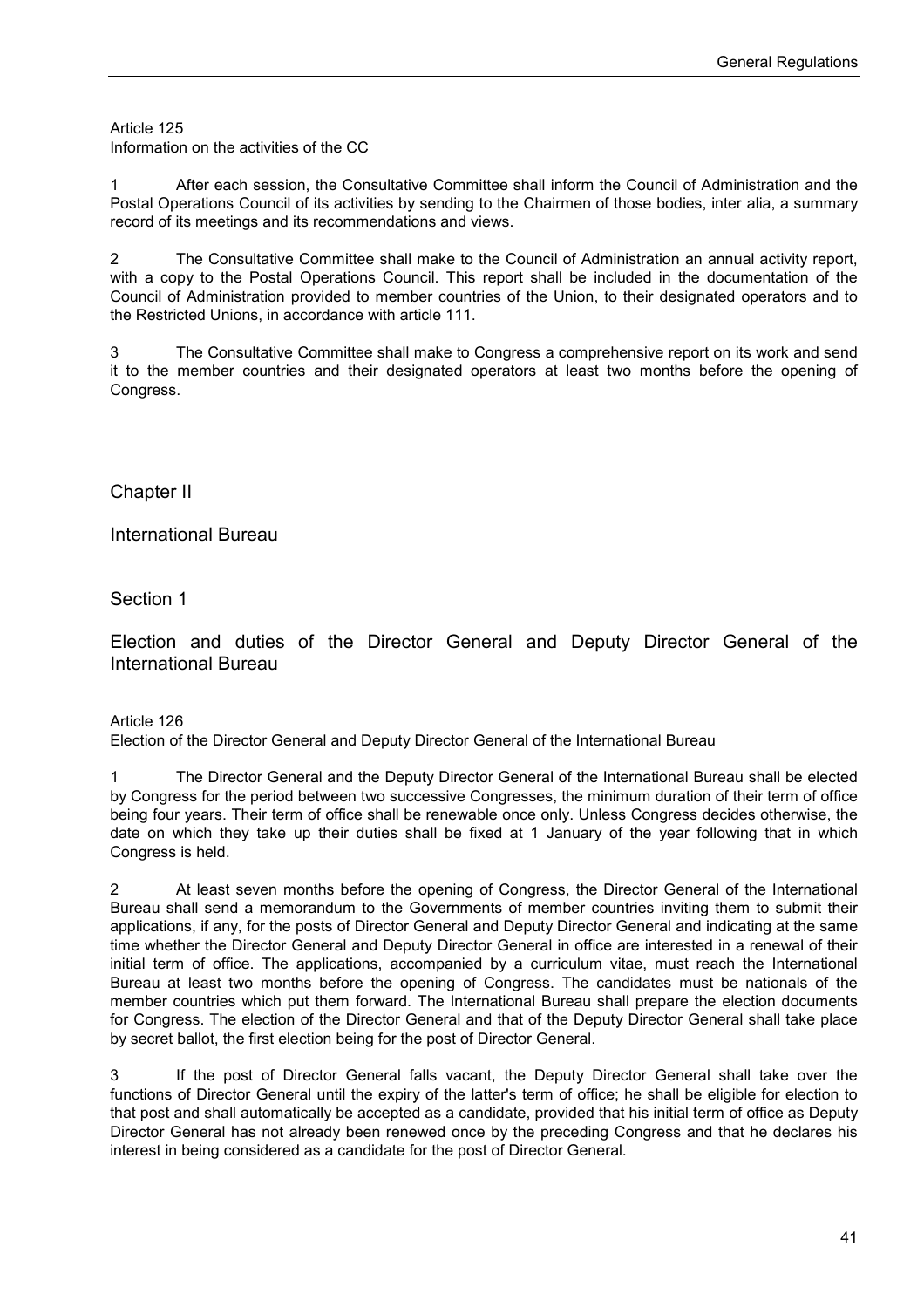Information on the activities of the CC

1 After each session, the Consultative Committee shall inform the Council of Administration and the Postal Operations Council of its activities by sending to the Chairmen of those bodies, inter alia, a summary record of its meetings and its recommendations and views.

2 The Consultative Committee shall make to the Council of Administration an annual activity report, with a copy to the Postal Operations Council. This report shall be included in the documentation of the Council of Administration provided to member countries of the Union, to their designated operators and to the Restricted Unions, in accordance with article 111.

3 The Consultative Committee shall make to Congress a comprehensive report on its work and send it to the member countries and their designated operators at least two months before the opening of Congress.

Chapter II

International Bureau

Section 1

Election and duties of the Director General and Deputy Director General of the International Bureau

#### Article 126

Election of the Director General and Deputy Director General of the International Bureau

1 The Director General and the Deputy Director General of the International Bureau shall be elected by Congress for the period between two successive Congresses, the minimum duration of their term of office being four years. Their term of office shall be renewable once only. Unless Congress decides otherwise, the date on which they take up their duties shall be fixed at 1 January of the year following that in which Congress is held.

2 At least seven months before the opening of Congress, the Director General of the International Bureau shall send a memorandum to the Governments of member countries inviting them to submit their applications, if any, for the posts of Director General and Deputy Director General and indicating at the same time whether the Director General and Deputy Director General in office are interested in a renewal of their initial term of office. The applications, accompanied by a curriculum vitae, must reach the International Bureau at least two months before the opening of Congress. The candidates must be nationals of the member countries which put them forward. The International Bureau shall prepare the election documents for Congress. The election of the Director General and that of the Deputy Director General shall take place by secret ballot, the first election being for the post of Director General.

3 If the post of Director General falls vacant, the Deputy Director General shall take over the functions of Director General until the expiry of the latter's term of office; he shall be eligible for election to that post and shall automatically be accepted as a candidate, provided that his initial term of office as Deputy Director General has not already been renewed once by the preceding Congress and that he declares his interest in being considered as a candidate for the post of Director General.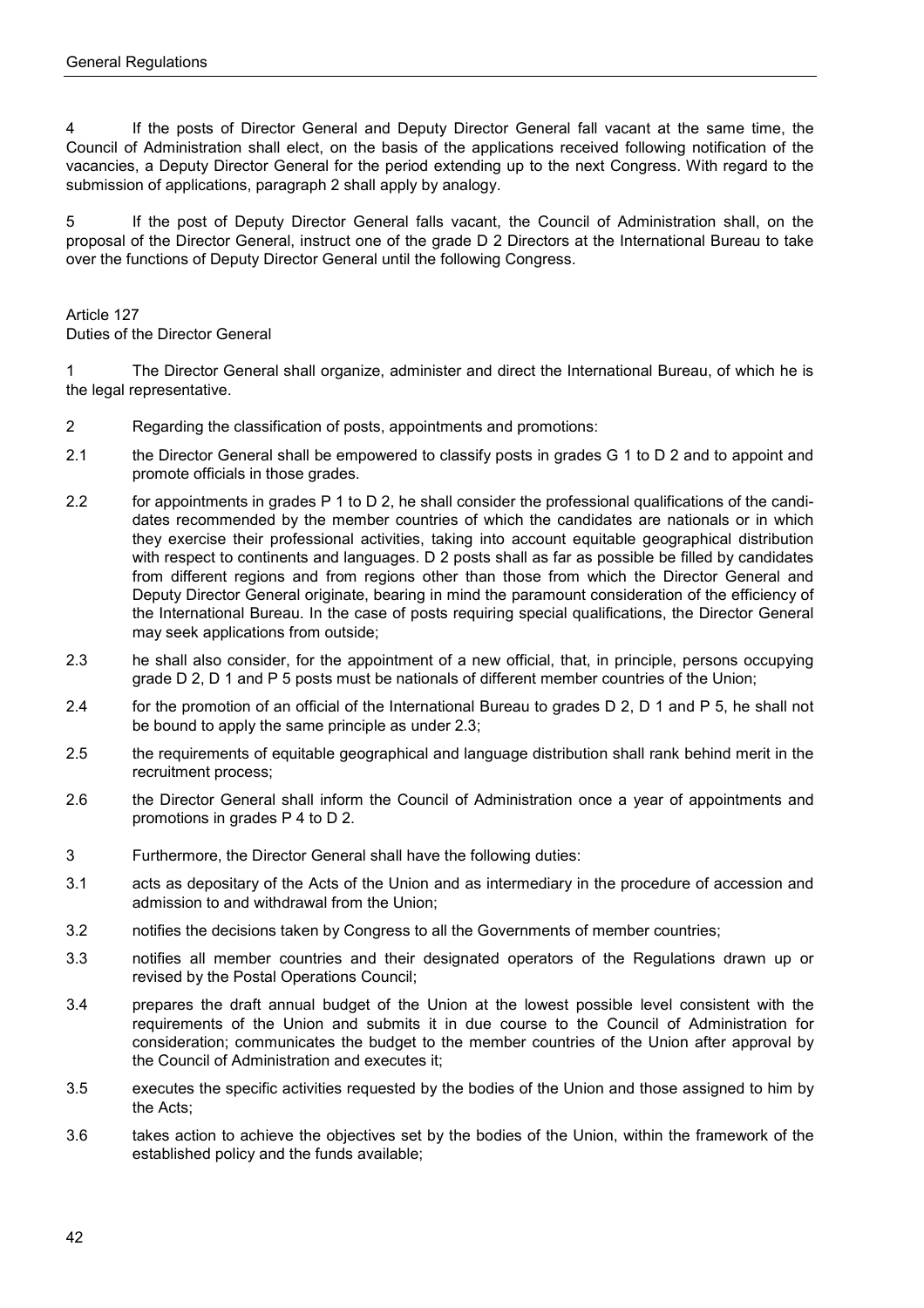4 If the posts of Director General and Deputy Director General fall vacant at the same time, the Council of Administration shall elect, on the basis of the applications received following notification of the vacancies, a Deputy Director General for the period extending up to the next Congress. With regard to the submission of applications, paragraph 2 shall apply by analogy.

5 If the post of Deputy Director General falls vacant, the Council of Administration shall, on the proposal of the Director General, instruct one of the grade D 2 Directors at the International Bureau to take over the functions of Deputy Director General until the following Congress.

#### Article 127

Duties of the Director General

1 The Director General shall organize, administer and direct the International Bureau, of which he is the legal representative.

- 2 Regarding the classification of posts, appointments and promotions:
- 2.1 the Director General shall be empowered to classify posts in grades G 1 to D 2 and to appoint and promote officials in those grades.
- 2.2 for appointments in grades P 1 to D 2, he shall consider the professional qualifications of the candidates recommended by the member countries of which the candidates are nationals or in which they exercise their professional activities, taking into account equitable geographical distribution with respect to continents and languages. D 2 posts shall as far as possible be filled by candidates from different regions and from regions other than those from which the Director General and Deputy Director General originate, bearing in mind the paramount consideration of the efficiency of the International Bureau. In the case of posts requiring special qualifications, the Director General may seek applications from outside;
- 2.3 he shall also consider, for the appointment of a new official, that, in principle, persons occupying grade D 2, D 1 and P 5 posts must be nationals of different member countries of the Union;
- 2.4 for the promotion of an official of the International Bureau to grades D 2, D 1 and P 5, he shall not be bound to apply the same principle as under 2.3;
- 2.5 the requirements of equitable geographical and language distribution shall rank behind merit in the recruitment process;
- 2.6 the Director General shall inform the Council of Administration once a year of appointments and promotions in grades P 4 to D 2.
- 3 Furthermore, the Director General shall have the following duties:
- 3.1 acts as depositary of the Acts of the Union and as intermediary in the procedure of accession and admission to and withdrawal from the Union;
- 3.2 notifies the decisions taken by Congress to all the Governments of member countries;
- 3.3 notifies all member countries and their designated operators of the Regulations drawn up or revised by the Postal Operations Council;
- 3.4 prepares the draft annual budget of the Union at the lowest possible level consistent with the requirements of the Union and submits it in due course to the Council of Administration for consideration; communicates the budget to the member countries of the Union after approval by the Council of Administration and executes it;
- 3.5 executes the specific activities requested by the bodies of the Union and those assigned to him by the Acts;
- 3.6 takes action to achieve the objectives set by the bodies of the Union, within the framework of the established policy and the funds available;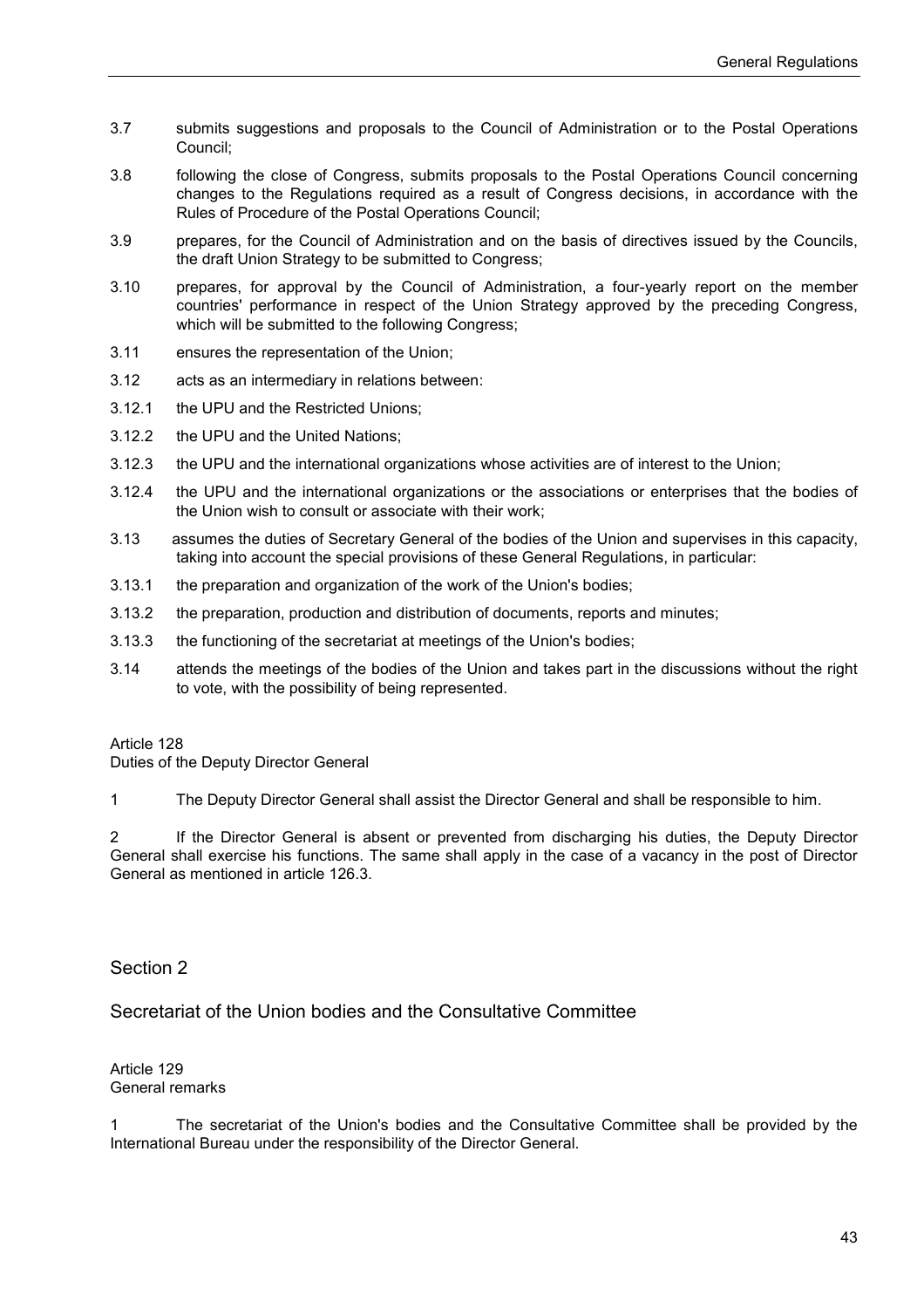- 3.7 submits suggestions and proposals to the Council of Administration or to the Postal Operations Council;
- 3.8 following the close of Congress, submits proposals to the Postal Operations Council concerning changes to the Regulations required as a result of Congress decisions, in accordance with the Rules of Procedure of the Postal Operations Council;
- 3.9 prepares, for the Council of Administration and on the basis of directives issued by the Councils, the draft Union Strategy to be submitted to Congress;
- 3.10 prepares, for approval by the Council of Administration, a four-yearly report on the member countries' performance in respect of the Union Strategy approved by the preceding Congress, which will be submitted to the following Congress;
- 3.11 ensures the representation of the Union;
- 3.12 acts as an intermediary in relations between:
- 3.12.1 the UPU and the Restricted Unions;
- 3.12.2 the UPU and the United Nations;
- 3.12.3 the UPU and the international organizations whose activities are of interest to the Union;
- 3.12.4 the UPU and the international organizations or the associations or enterprises that the bodies of the Union wish to consult or associate with their work;
- 3.13 assumes the duties of Secretary General of the bodies of the Union and supervises in this capacity, taking into account the special provisions of these General Regulations, in particular:
- 3.13.1 the preparation and organization of the work of the Union's bodies;
- 3.13.2 the preparation, production and distribution of documents, reports and minutes;
- 3.13.3 the functioning of the secretariat at meetings of the Union's bodies;
- 3.14 attends the meetings of the bodies of the Union and takes part in the discussions without the right to vote, with the possibility of being represented.

Duties of the Deputy Director General

1 The Deputy Director General shall assist the Director General and shall be responsible to him.

2 If the Director General is absent or prevented from discharging his duties, the Deputy Director General shall exercise his functions. The same shall apply in the case of a vacancy in the post of Director General as mentioned in article 126.3.

Section 2

Secretariat of the Union bodies and the Consultative Committee

Article 129 General remarks

1 The secretariat of the Union's bodies and the Consultative Committee shall be provided by the International Bureau under the responsibility of the Director General.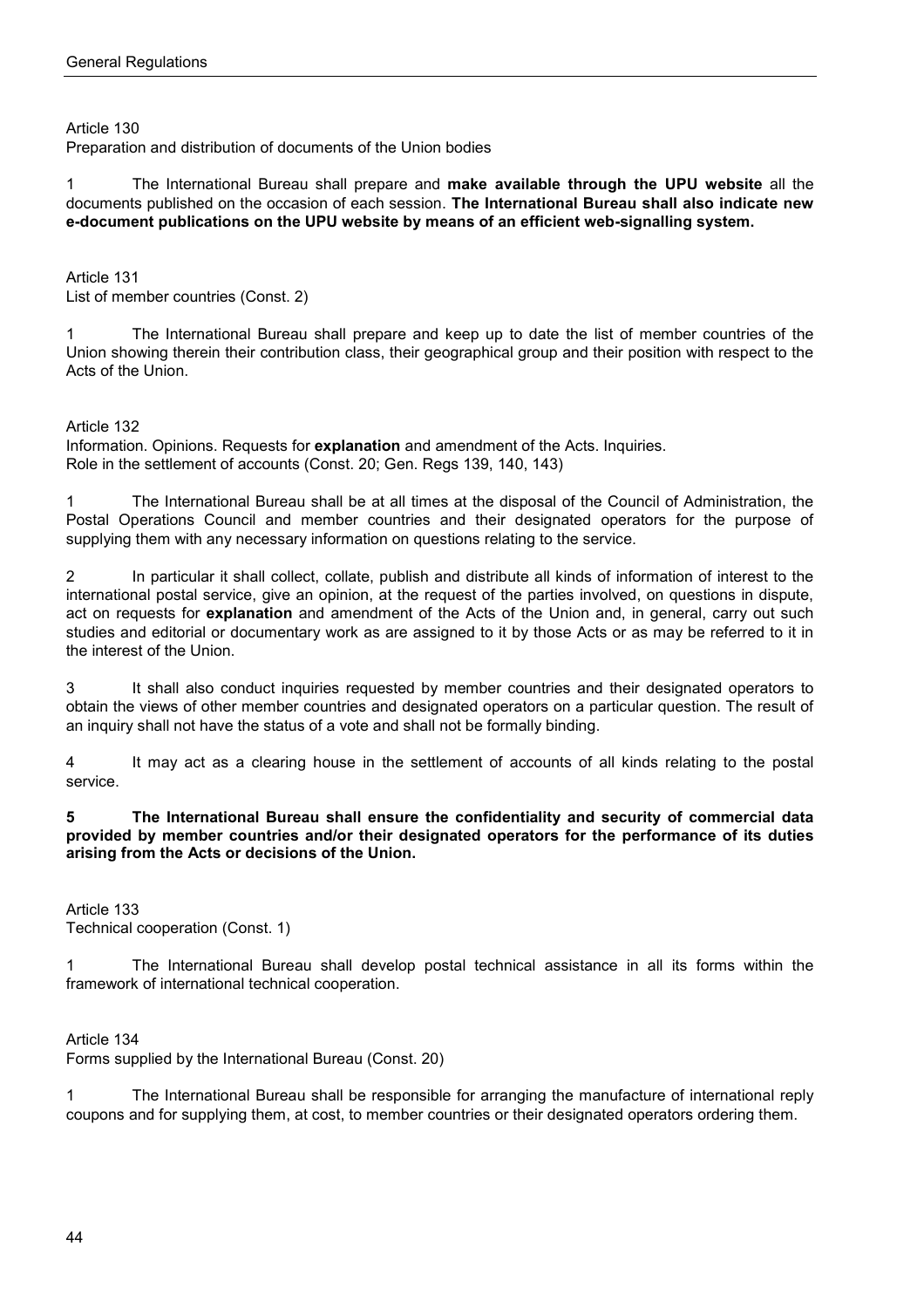Preparation and distribution of documents of the Union bodies

1 The International Bureau shall prepare and **make available through the UPU website** all the documents published on the occasion of each session. **The International Bureau shall also indicate new e-document publications on the UPU website by means of an efficient web-signalling system.**

Article 131 List of member countries (Const. 2)

1 The International Bureau shall prepare and keep up to date the list of member countries of the Union showing therein their contribution class, their geographical group and their position with respect to the Acts of the Union.

Article 132

Information. Opinions. Requests for **explanation** and amendment of the Acts. Inquiries. Role in the settlement of accounts (Const. 20; Gen. Regs 139, 140, 143)

1 The International Bureau shall be at all times at the disposal of the Council of Administration, the Postal Operations Council and member countries and their designated operators for the purpose of supplying them with any necessary information on questions relating to the service.

2 In particular it shall collect, collate, publish and distribute all kinds of information of interest to the international postal service, give an opinion, at the request of the parties involved, on questions in dispute, act on requests for **explanation** and amendment of the Acts of the Union and, in general, carry out such studies and editorial or documentary work as are assigned to it by those Acts or as may be referred to it in the interest of the Union.

3 It shall also conduct inquiries requested by member countries and their designated operators to obtain the views of other member countries and designated operators on a particular question. The result of an inquiry shall not have the status of a vote and shall not be formally binding.

4 It may act as a clearing house in the settlement of accounts of all kinds relating to the postal service.

**5 The International Bureau shall ensure the confidentiality and security of commercial data provided by member countries and/or their designated operators for the performance of its duties arising from the Acts or decisions of the Union.**

Article 133 Technical cooperation (Const. 1)

1 The International Bureau shall develop postal technical assistance in all its forms within the framework of international technical cooperation.

Article 134

Forms supplied by the International Bureau (Const. 20)

1 The International Bureau shall be responsible for arranging the manufacture of international reply coupons and for supplying them, at cost, to member countries or their designated operators ordering them.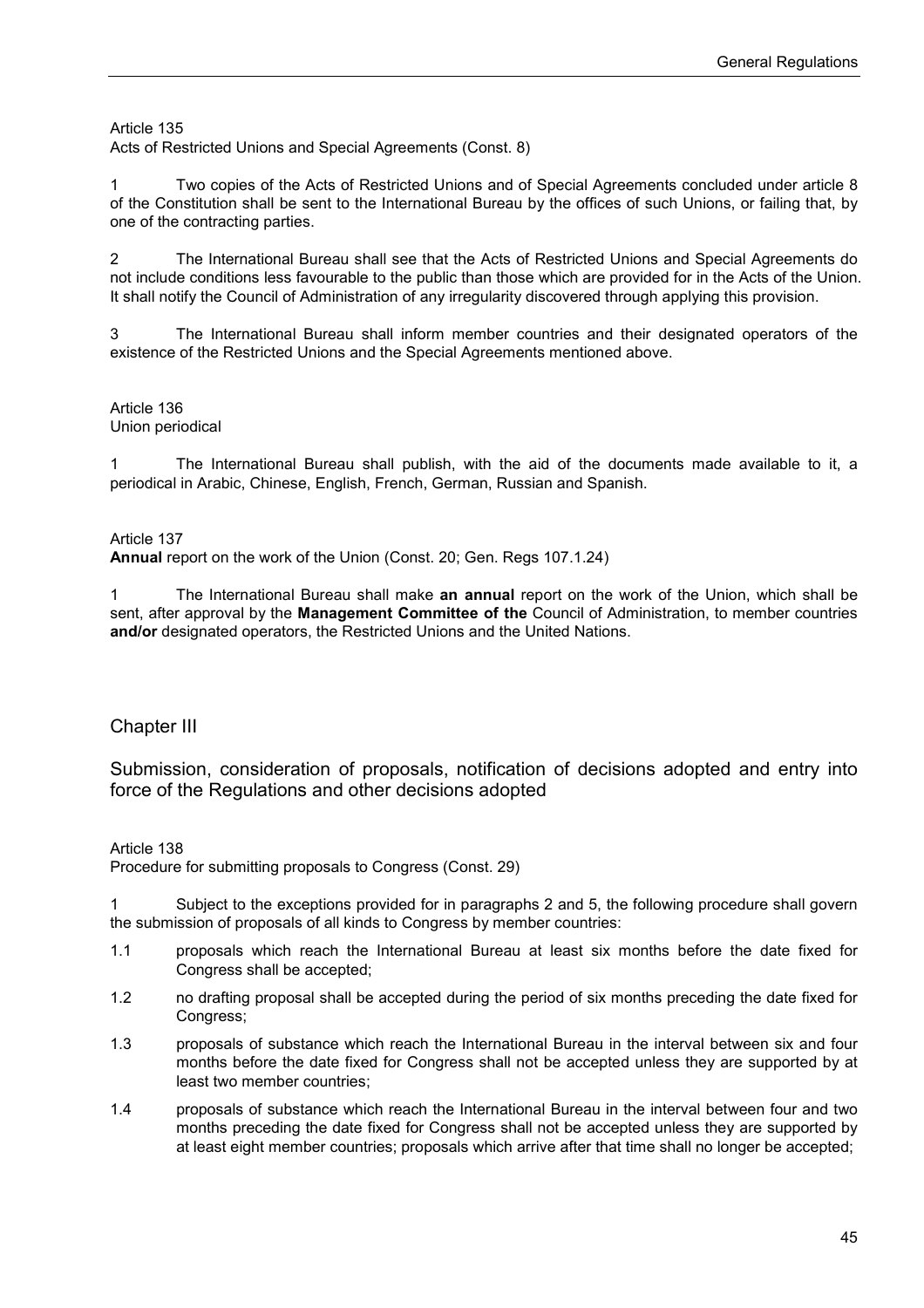Acts of Restricted Unions and Special Agreements (Const. 8)

1 Two copies of the Acts of Restricted Unions and of Special Agreements concluded under article 8 of the Constitution shall be sent to the International Bureau by the offices of such Unions, or failing that, by one of the contracting parties.

2 The International Bureau shall see that the Acts of Restricted Unions and Special Agreements do not include conditions less favourable to the public than those which are provided for in the Acts of the Union. It shall notify the Council of Administration of any irregularity discovered through applying this provision.

3 The International Bureau shall inform member countries and their designated operators of the existence of the Restricted Unions and the Special Agreements mentioned above.

#### Article 136 Union periodical

1 The International Bureau shall publish, with the aid of the documents made available to it, a periodical in Arabic, Chinese, English, French, German, Russian and Spanish.

#### Article 137

**Annual** report on the work of the Union (Const. 20; Gen. Regs 107.1.24)

1 The International Bureau shall make **an annual** report on the work of the Union, which shall be sent, after approval by the **Management Committee of the** Council of Administration, to member countries **and/or** designated operators, the Restricted Unions and the United Nations.

## Chapter III

Submission, consideration of proposals, notification of decisions adopted and entry into force of the Regulations and other decisions adopted

#### Article 138

Procedure for submitting proposals to Congress (Const. 29)

1 Subject to the exceptions provided for in paragraphs 2 and 5, the following procedure shall govern the submission of proposals of all kinds to Congress by member countries:

- 1.1 proposals which reach the International Bureau at least six months before the date fixed for Congress shall be accepted;
- 1.2 no drafting proposal shall be accepted during the period of six months preceding the date fixed for Congress;
- 1.3 proposals of substance which reach the International Bureau in the interval between six and four months before the date fixed for Congress shall not be accepted unless they are supported by at least two member countries;
- 1.4 proposals of substance which reach the International Bureau in the interval between four and two months preceding the date fixed for Congress shall not be accepted unless they are supported by at least eight member countries; proposals which arrive after that time shall no longer be accepted;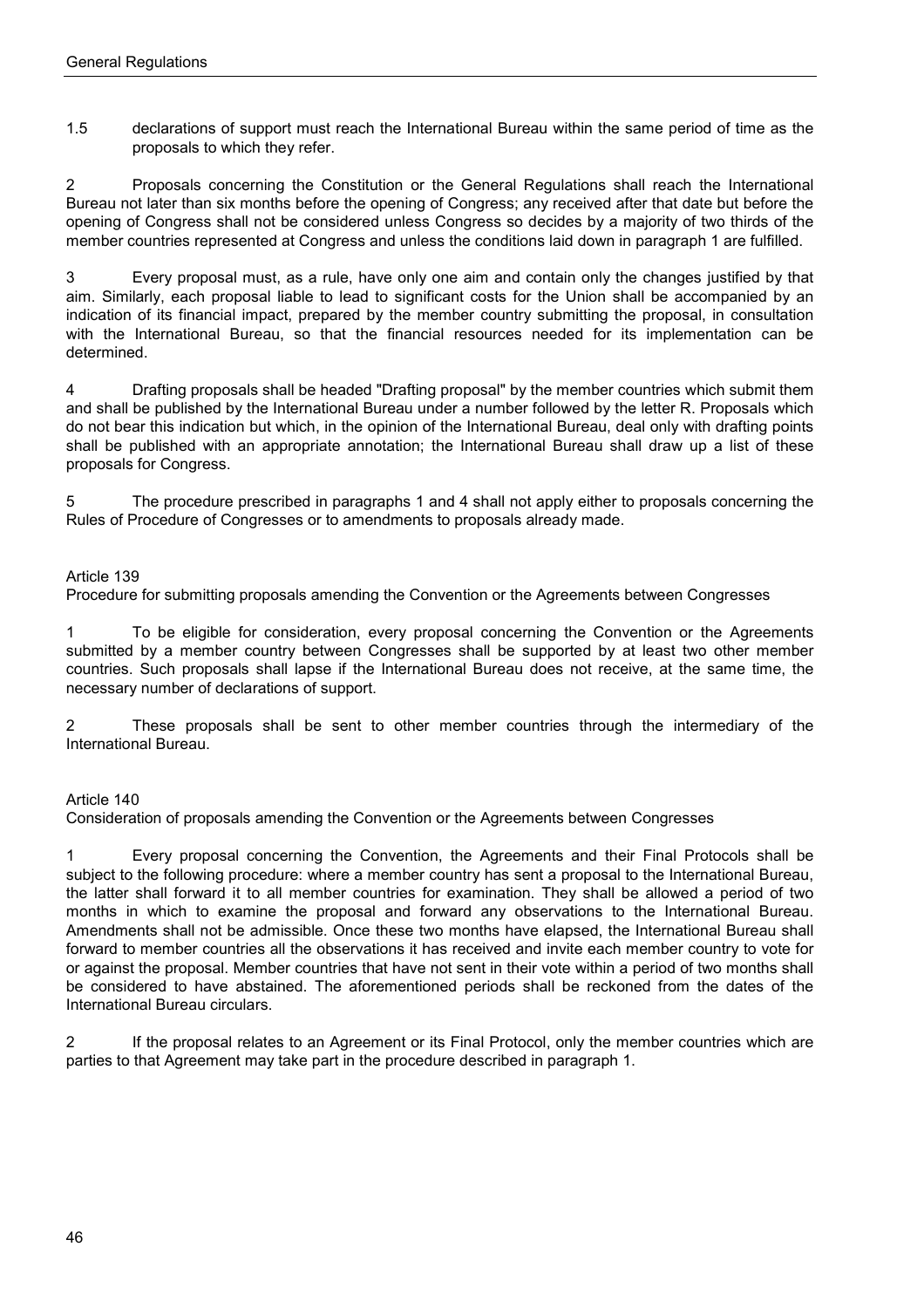1.5 declarations of support must reach the International Bureau within the same period of time as the proposals to which they refer.

2 Proposals concerning the Constitution or the General Regulations shall reach the International Bureau not later than six months before the opening of Congress; any received after that date but before the opening of Congress shall not be considered unless Congress so decides by a majority of two thirds of the member countries represented at Congress and unless the conditions laid down in paragraph 1 are fulfilled.

3 Every proposal must, as a rule, have only one aim and contain only the changes justified by that aim. Similarly, each proposal liable to lead to significant costs for the Union shall be accompanied by an indication of its financial impact, prepared by the member country submitting the proposal, in consultation with the International Bureau, so that the financial resources needed for its implementation can be determined.

4 Drafting proposals shall be headed "Drafting proposal" by the member countries which submit them and shall be published by the International Bureau under a number followed by the letter R. Proposals which do not bear this indication but which, in the opinion of the International Bureau, deal only with drafting points shall be published with an appropriate annotation; the International Bureau shall draw up a list of these proposals for Congress.

5 The procedure prescribed in paragraphs 1 and 4 shall not apply either to proposals concerning the Rules of Procedure of Congresses or to amendments to proposals already made.

#### Article 139

Procedure for submitting proposals amending the Convention or the Agreements between Congresses

1 To be eligible for consideration, every proposal concerning the Convention or the Agreements submitted by a member country between Congresses shall be supported by at least two other member countries. Such proposals shall lapse if the International Bureau does not receive, at the same time, the necessary number of declarations of support.

2 These proposals shall be sent to other member countries through the intermediary of the International Bureau.

#### Article 140

Consideration of proposals amending the Convention or the Agreements between Congresses

1 Every proposal concerning the Convention, the Agreements and their Final Protocols shall be subject to the following procedure: where a member country has sent a proposal to the International Bureau, the latter shall forward it to all member countries for examination. They shall be allowed a period of two months in which to examine the proposal and forward any observations to the International Bureau. Amendments shall not be admissible. Once these two months have elapsed, the International Bureau shall forward to member countries all the observations it has received and invite each member country to vote for or against the proposal. Member countries that have not sent in their vote within a period of two months shall be considered to have abstained. The aforementioned periods shall be reckoned from the dates of the International Bureau circulars.

2 If the proposal relates to an Agreement or its Final Protocol, only the member countries which are parties to that Agreement may take part in the procedure described in paragraph 1.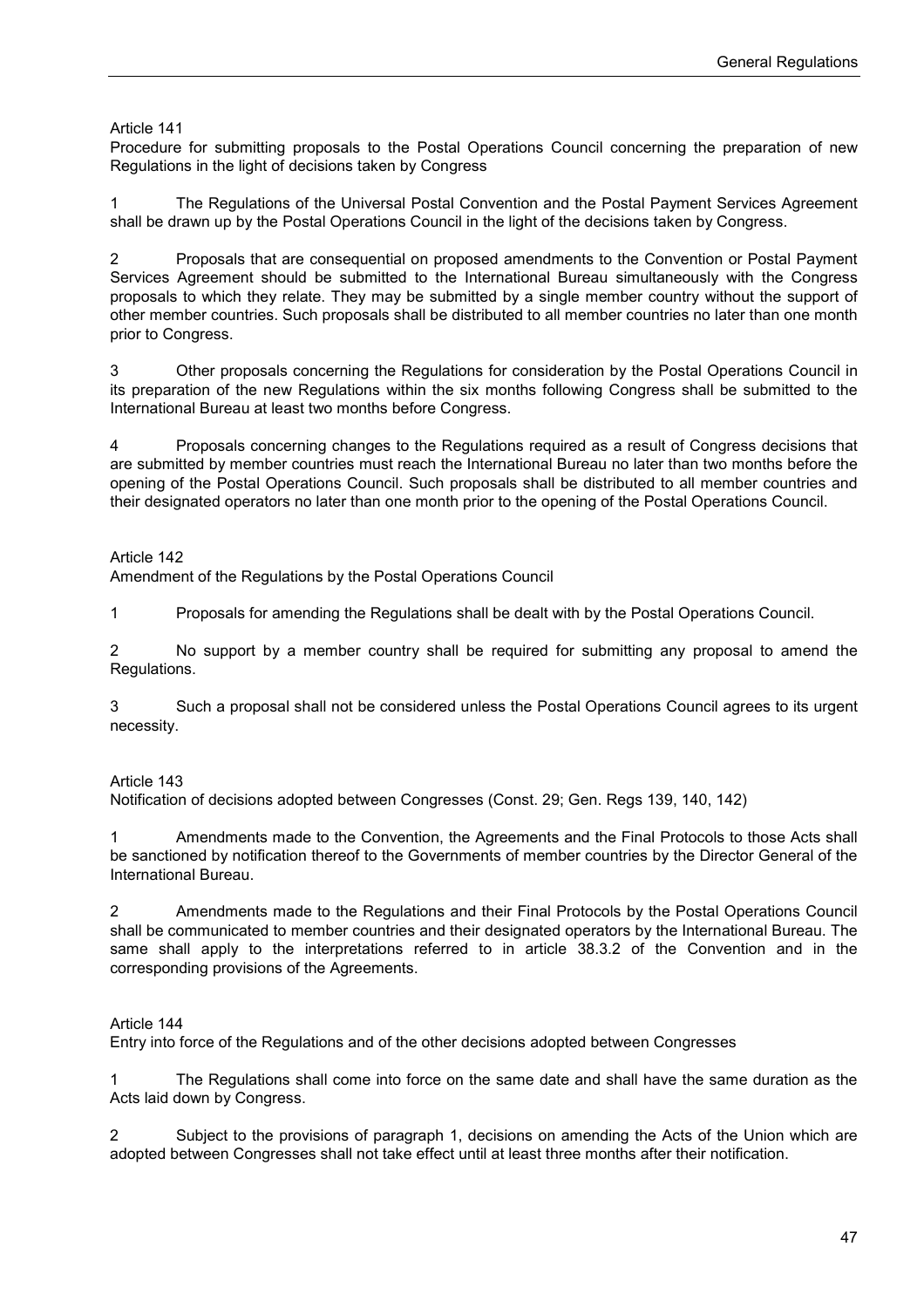Procedure for submitting proposals to the Postal Operations Council concerning the preparation of new Regulations in the light of decisions taken by Congress

1 The Regulations of the Universal Postal Convention and the Postal Payment Services Agreement shall be drawn up by the Postal Operations Council in the light of the decisions taken by Congress.

2 Proposals that are consequential on proposed amendments to the Convention or Postal Payment Services Agreement should be submitted to the International Bureau simultaneously with the Congress proposals to which they relate. They may be submitted by a single member country without the support of other member countries. Such proposals shall be distributed to all member countries no later than one month prior to Congress.

3 Other proposals concerning the Regulations for consideration by the Postal Operations Council in its preparation of the new Regulations within the six months following Congress shall be submitted to the International Bureau at least two months before Congress.

4 Proposals concerning changes to the Regulations required as a result of Congress decisions that are submitted by member countries must reach the International Bureau no later than two months before the opening of the Postal Operations Council. Such proposals shall be distributed to all member countries and their designated operators no later than one month prior to the opening of the Postal Operations Council.

Article 142

Amendment of the Regulations by the Postal Operations Council

1 Proposals for amending the Regulations shall be dealt with by the Postal Operations Council.

2 No support by a member country shall be required for submitting any proposal to amend the Regulations.

3 Such a proposal shall not be considered unless the Postal Operations Council agrees to its urgent necessity.

#### Article 143

Notification of decisions adopted between Congresses (Const. 29; Gen. Regs 139, 140, 142)

1 Amendments made to the Convention, the Agreements and the Final Protocols to those Acts shall be sanctioned by notification thereof to the Governments of member countries by the Director General of the International Bureau.

2 Amendments made to the Regulations and their Final Protocols by the Postal Operations Council shall be communicated to member countries and their designated operators by the International Bureau. The same shall apply to the interpretations referred to in article 38.3.2 of the Convention and in the corresponding provisions of the Agreements.

#### Article 144

Entry into force of the Regulations and of the other decisions adopted between Congresses

1 The Regulations shall come into force on the same date and shall have the same duration as the Acts laid down by Congress.

2 Subject to the provisions of paragraph 1, decisions on amending the Acts of the Union which are adopted between Congresses shall not take effect until at least three months after their notification.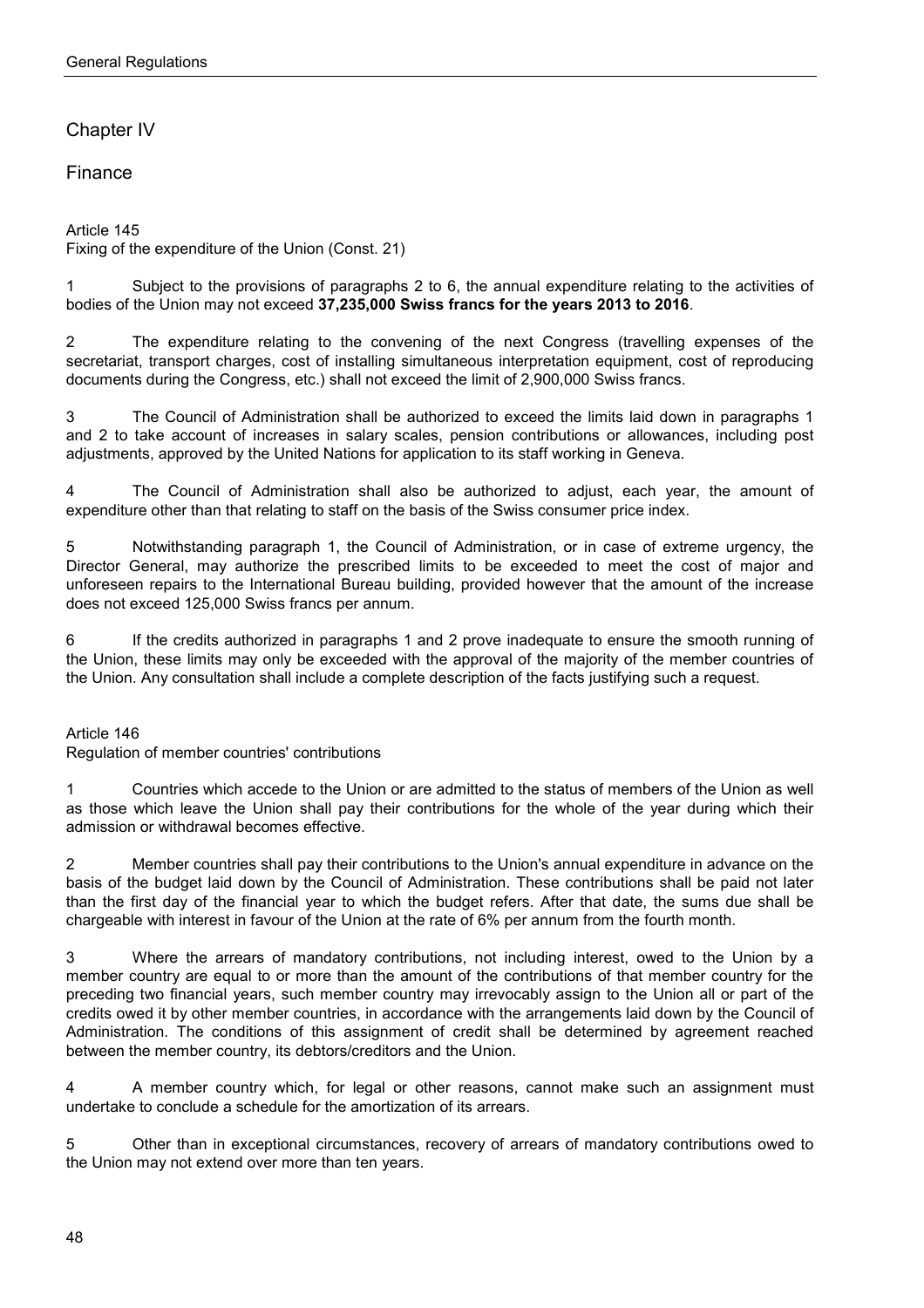# Chapter IV

# Finance

Article 145 Fixing of the expenditure of the Union (Const. 21)

1 Subject to the provisions of paragraphs 2 to 6, the annual expenditure relating to the activities of bodies of the Union may not exceed **37,235,000 Swiss francs for the years 2013 to 2016**.

2 The expenditure relating to the convening of the next Congress (travelling expenses of the secretariat, transport charges, cost of installing simultaneous interpretation equipment, cost of reproducing documents during the Congress, etc.) shall not exceed the limit of 2,900,000 Swiss francs.

3 The Council of Administration shall be authorized to exceed the limits laid down in paragraphs 1 and 2 to take account of increases in salary scales, pension contributions or allowances, including post adjustments, approved by the United Nations for application to its staff working in Geneva.

4 The Council of Administration shall also be authorized to adjust, each year, the amount of expenditure other than that relating to staff on the basis of the Swiss consumer price index.

5 Notwithstanding paragraph 1, the Council of Administration, or in case of extreme urgency, the Director General, may authorize the prescribed limits to be exceeded to meet the cost of major and unforeseen repairs to the International Bureau building, provided however that the amount of the increase does not exceed 125,000 Swiss francs per annum.

6 If the credits authorized in paragraphs 1 and 2 prove inadequate to ensure the smooth running of the Union, these limits may only be exceeded with the approval of the majority of the member countries of the Union. Any consultation shall include a complete description of the facts justifying such a request.

#### Article 146

Regulation of member countries' contributions

1 Countries which accede to the Union or are admitted to the status of members of the Union as well as those which leave the Union shall pay their contributions for the whole of the year during which their admission or withdrawal becomes effective.

2 Member countries shall pay their contributions to the Union's annual expenditure in advance on the basis of the budget laid down by the Council of Administration. These contributions shall be paid not later than the first day of the financial year to which the budget refers. After that date, the sums due shall be chargeable with interest in favour of the Union at the rate of 6% per annum from the fourth month.

3 Where the arrears of mandatory contributions, not including interest, owed to the Union by a member country are equal to or more than the amount of the contributions of that member country for the preceding two financial years, such member country may irrevocably assign to the Union all or part of the credits owed it by other member countries, in accordance with the arrangements laid down by the Council of Administration. The conditions of this assignment of credit shall be determined by agreement reached between the member country, its debtors/creditors and the Union.

4 A member country which, for legal or other reasons, cannot make such an assignment must undertake to conclude a schedule for the amortization of its arrears.

5 Other than in exceptional circumstances, recovery of arrears of mandatory contributions owed to the Union may not extend over more than ten years.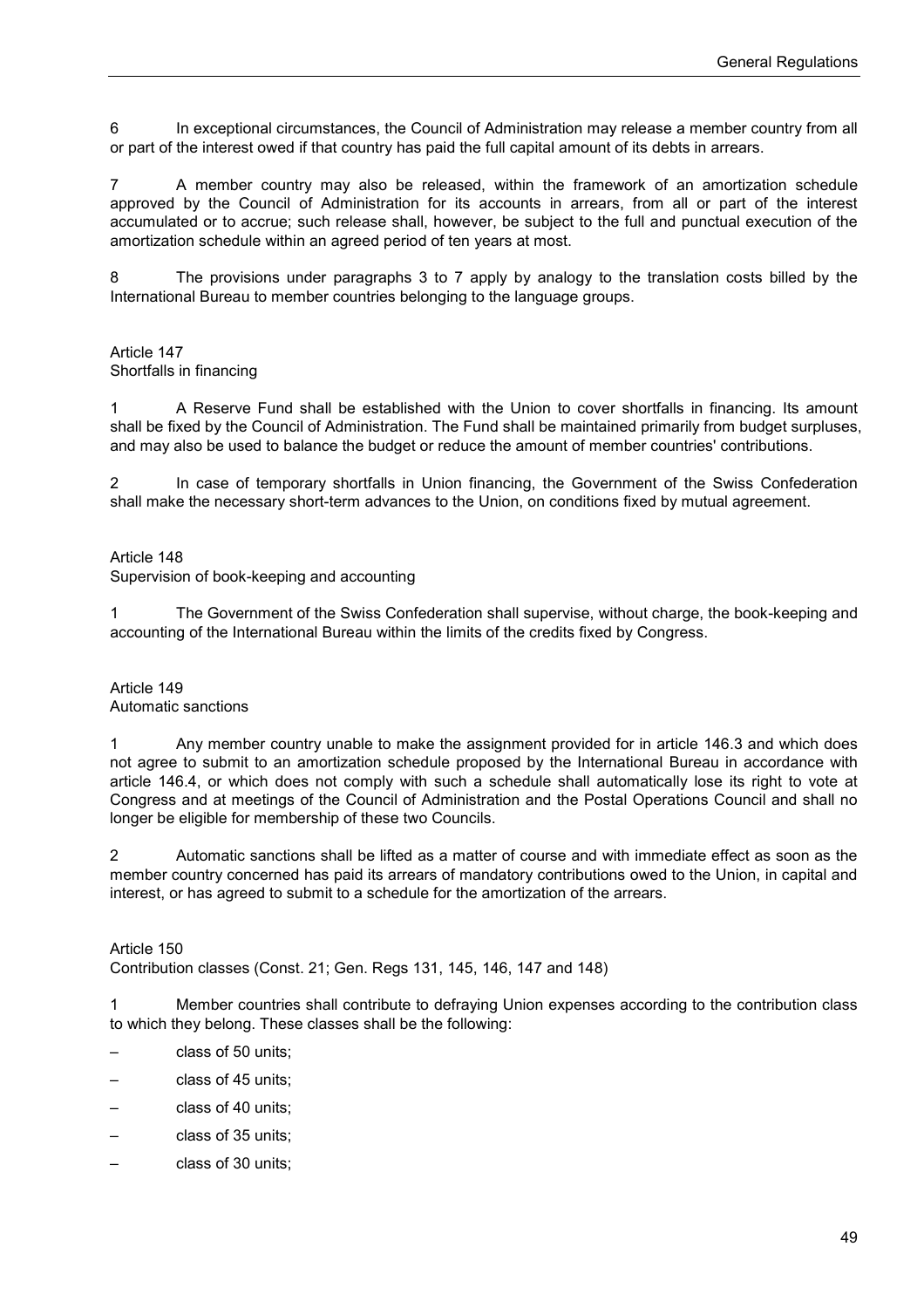6 In exceptional circumstances, the Council of Administration may release a member country from all or part of the interest owed if that country has paid the full capital amount of its debts in arrears.

7 A member country may also be released, within the framework of an amortization schedule approved by the Council of Administration for its accounts in arrears, from all or part of the interest accumulated or to accrue; such release shall, however, be subject to the full and punctual execution of the amortization schedule within an agreed period of ten years at most.

8 The provisions under paragraphs 3 to 7 apply by analogy to the translation costs billed by the International Bureau to member countries belonging to the language groups.

#### Article 147 Shortfalls in financing

1 A Reserve Fund shall be established with the Union to cover shortfalls in financing. Its amount shall be fixed by the Council of Administration. The Fund shall be maintained primarily from budget surpluses, and may also be used to balance the budget or reduce the amount of member countries' contributions.

2 In case of temporary shortfalls in Union financing, the Government of the Swiss Confederation shall make the necessary short-term advances to the Union, on conditions fixed by mutual agreement.

Article 148

Supervision of book-keeping and accounting

1 The Government of the Swiss Confederation shall supervise, without charge, the book-keeping and accounting of the International Bureau within the limits of the credits fixed by Congress.

Article 149 Automatic sanctions

1 Any member country unable to make the assignment provided for in article 146.3 and which does not agree to submit to an amortization schedule proposed by the International Bureau in accordance with article 146.4, or which does not comply with such a schedule shall automatically lose its right to vote at Congress and at meetings of the Council of Administration and the Postal Operations Council and shall no longer be eligible for membership of these two Councils.

2 Automatic sanctions shall be lifted as a matter of course and with immediate effect as soon as the member country concerned has paid its arrears of mandatory contributions owed to the Union, in capital and interest, or has agreed to submit to a schedule for the amortization of the arrears.

Article 150

Contribution classes (Const. 21; Gen. Regs 131, 145, 146, 147 and 148)

1 Member countries shall contribute to defraying Union expenses according to the contribution class to which they belong. These classes shall be the following:

- class of 50 units;
- class of 45 units;
- class of 40 units;
- class of 35 units;
- class of 30 units;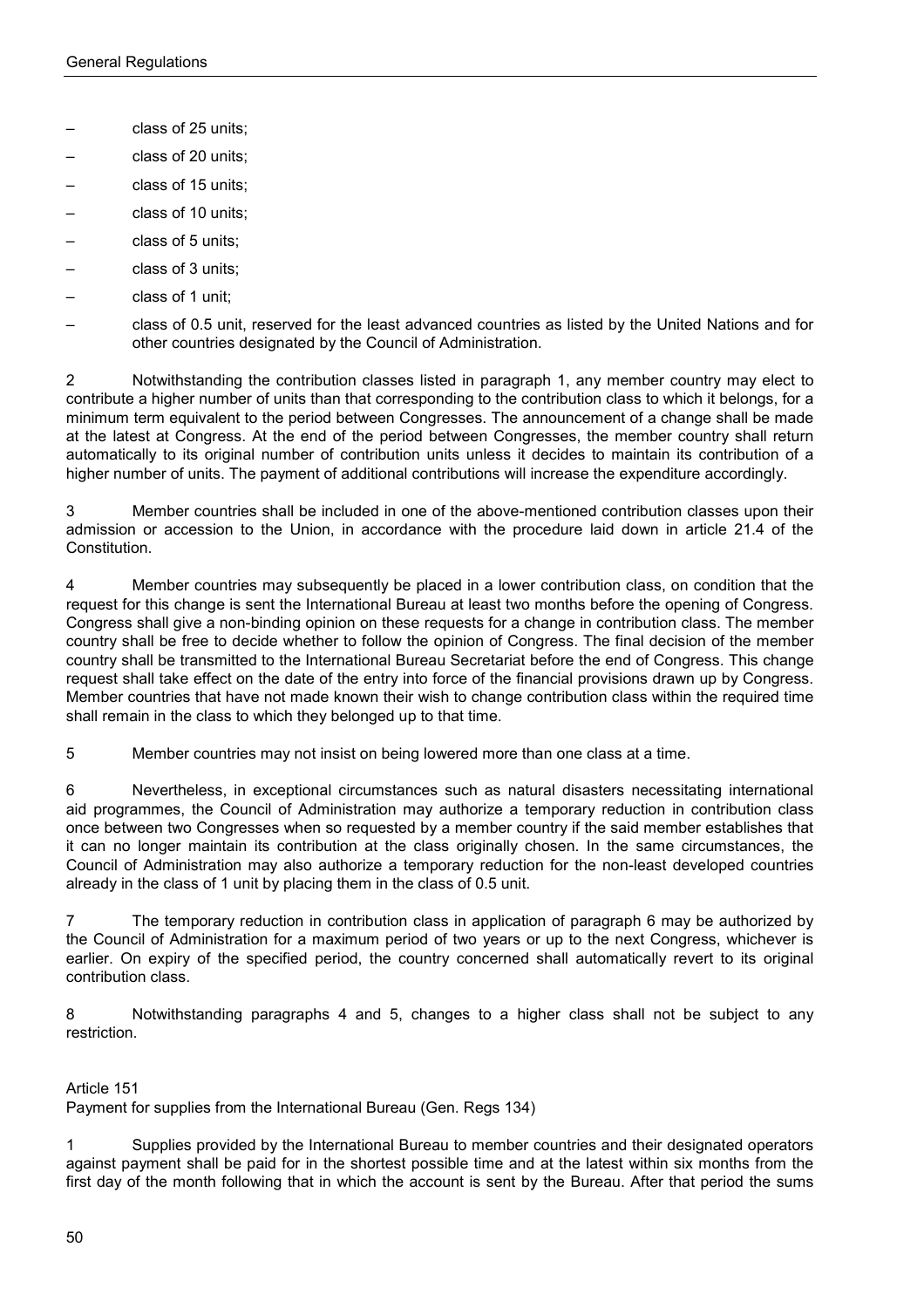- class of 25 units;
- class of 20 units;
- class of 15 units;
- class of 10 units;
- class of 5 units;
- class of 3 units;
- class of 1 unit;
- class of 0.5 unit, reserved for the least advanced countries as listed by the United Nations and for other countries designated by the Council of Administration.

2 Notwithstanding the contribution classes listed in paragraph 1, any member country may elect to contribute a higher number of units than that corresponding to the contribution class to which it belongs, for a minimum term equivalent to the period between Congresses. The announcement of a change shall be made at the latest at Congress. At the end of the period between Congresses, the member country shall return automatically to its original number of contribution units unless it decides to maintain its contribution of a higher number of units. The payment of additional contributions will increase the expenditure accordingly.

3 Member countries shall be included in one of the above-mentioned contribution classes upon their admission or accession to the Union, in accordance with the procedure laid down in article 21.4 of the Constitution.

4 Member countries may subsequently be placed in a lower contribution class, on condition that the request for this change is sent the International Bureau at least two months before the opening of Congress. Congress shall give a non-binding opinion on these requests for a change in contribution class. The member country shall be free to decide whether to follow the opinion of Congress. The final decision of the member country shall be transmitted to the International Bureau Secretariat before the end of Congress. This change request shall take effect on the date of the entry into force of the financial provisions drawn up by Congress. Member countries that have not made known their wish to change contribution class within the required time shall remain in the class to which they belonged up to that time.

5 Member countries may not insist on being lowered more than one class at a time.

6 Nevertheless, in exceptional circumstances such as natural disasters necessitating international aid programmes, the Council of Administration may authorize a temporary reduction in contribution class once between two Congresses when so requested by a member country if the said member establishes that it can no longer maintain its contribution at the class originally chosen. In the same circumstances, the Council of Administration may also authorize a temporary reduction for the non-least developed countries already in the class of 1 unit by placing them in the class of 0.5 unit.

7 The temporary reduction in contribution class in application of paragraph 6 may be authorized by the Council of Administration for a maximum period of two years or up to the next Congress, whichever is earlier. On expiry of the specified period, the country concerned shall automatically revert to its original contribution class.

8 Notwithstanding paragraphs 4 and 5, changes to a higher class shall not be subject to any restriction.

## Article 151

Payment for supplies from the International Bureau (Gen. Regs 134)

1 Supplies provided by the International Bureau to member countries and their designated operators against payment shall be paid for in the shortest possible time and at the latest within six months from the first day of the month following that in which the account is sent by the Bureau. After that period the sums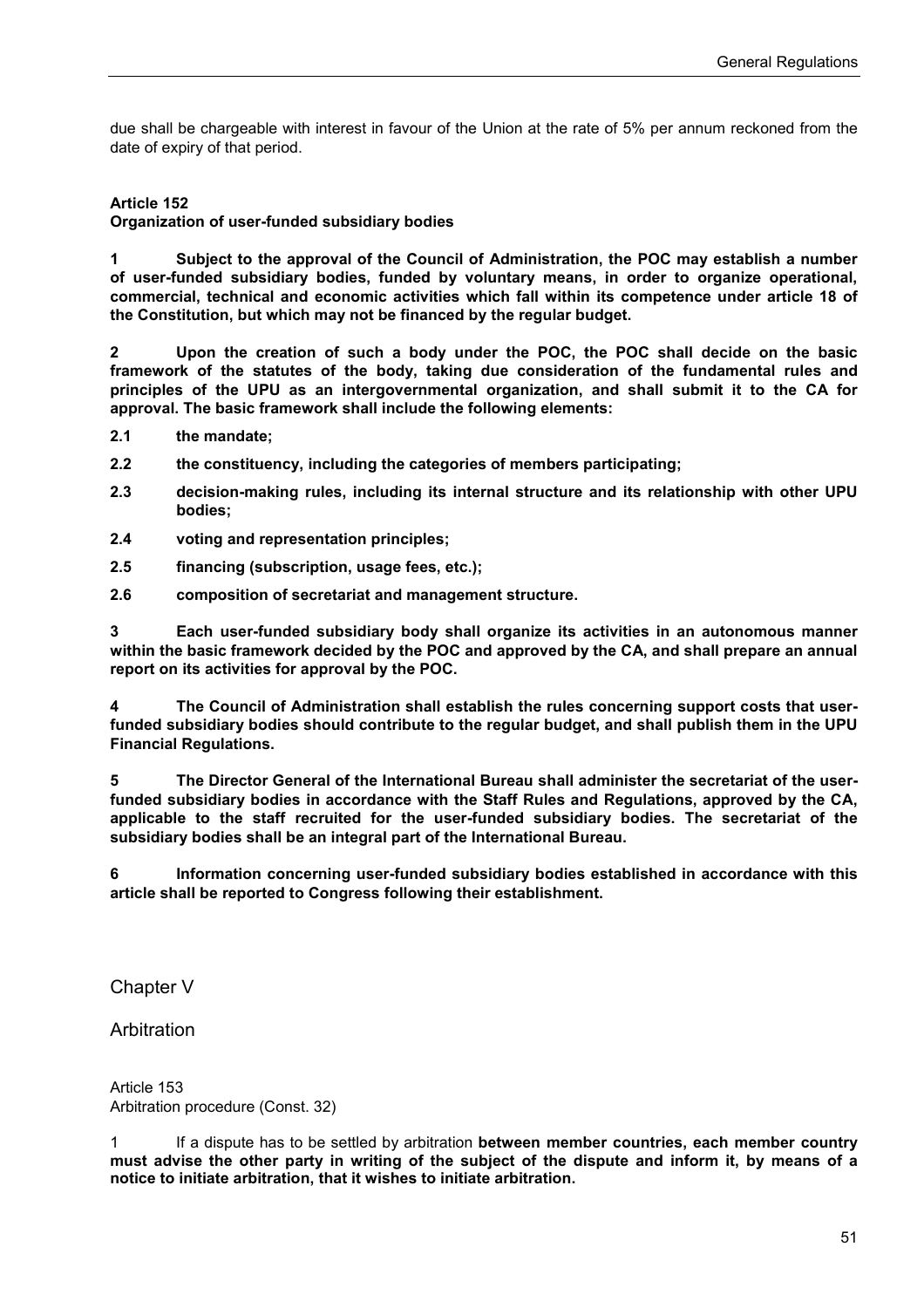due shall be chargeable with interest in favour of the Union at the rate of 5% per annum reckoned from the date of expiry of that period.

#### **Article 152**

**Organization of user-funded subsidiary bodies**

**1 Subject to the approval of the Council of Administration, the POC may establish a number of user-funded subsidiary bodies, funded by voluntary means, in order to organize operational, commercial, technical and economic activities which fall within its competence under article 18 of the Constitution, but which may not be financed by the regular budget.** 

**2 Upon the creation of such a body under the POC, the POC shall decide on the basic framework of the statutes of the body, taking due consideration of the fundamental rules and principles of the UPU as an intergovernmental organization, and shall submit it to the CA for approval. The basic framework shall include the following elements:** 

- **2.1 the mandate;**
- **2.2 the constituency, including the categories of members participating;**
- **2.3 decision-making rules, including its internal structure and its relationship with other UPU bodies;**
- **2.4 voting and representation principles;**
- **2.5 financing (subscription, usage fees, etc.);**
- **2.6 composition of secretariat and management structure.**

**3 Each user-funded subsidiary body shall organize its activities in an autonomous manner within the basic framework decided by the POC and approved by the CA, and shall prepare an annual report on its activities for approval by the POC.** 

**4 The Council of Administration shall establish the rules concerning support costs that userfunded subsidiary bodies should contribute to the regular budget, and shall publish them in the UPU Financial Regulations.** 

**5 The Director General of the International Bureau shall administer the secretariat of the userfunded subsidiary bodies in accordance with the Staff Rules and Regulations, approved by the CA, applicable to the staff recruited for the user-funded subsidiary bodies. The secretariat of the subsidiary bodies shall be an integral part of the International Bureau.** 

**6 Information concerning user-funded subsidiary bodies established in accordance with this article shall be reported to Congress following their establishment.**

Chapter V

Arbitration

Article 153 Arbitration procedure (Const. 32)

1 If a dispute has to be settled by arbitration **between member countries, each member country must advise the other party in writing of the subject of the dispute and inform it, by means of a notice to initiate arbitration, that it wishes to initiate arbitration.**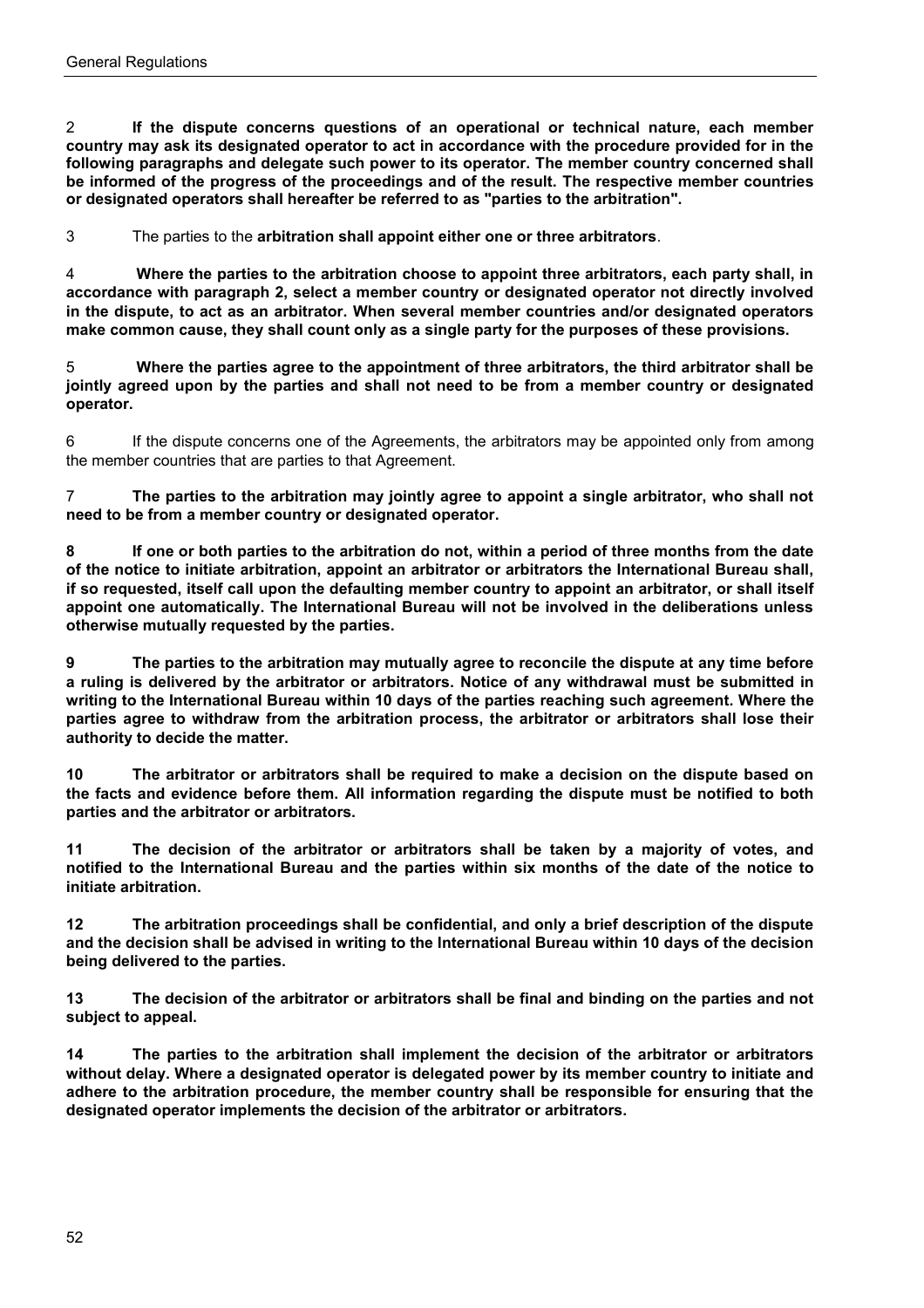2 **If the dispute concerns questions of an operational or technical nature, each member country may ask its designated operator to act in accordance with the procedure provided for in the following paragraphs and delegate such power to its operator. The member country concerned shall be informed of the progress of the proceedings and of the result. The respective member countries or designated operators shall hereafter be referred to as "parties to the arbitration".**

3 The parties to the **arbitration shall appoint either one or three arbitrators**.

4 **Where the parties to the arbitration choose to appoint three arbitrators, each party shall, in accordance with paragraph 2, select a member country or designated operator not directly involved in the dispute, to act as an arbitrator. When several member countries and/or designated operators make common cause, they shall count only as a single party for the purposes of these provisions.**

5 **Where the parties agree to the appointment of three arbitrators, the third arbitrator shall be jointly agreed upon by the parties and shall not need to be from a member country or designated operator.**

6 If the dispute concerns one of the Agreements, the arbitrators may be appointed only from among the member countries that are parties to that Agreement.

7 **The parties to the arbitration may jointly agree to appoint a single arbitrator, who shall not need to be from a member country or designated operator.**

**8 If one or both parties to the arbitration do not, within a period of three months from the date of the notice to initiate arbitration, appoint an arbitrator or arbitrators the International Bureau shall, if so requested, itself call upon the defaulting member country to appoint an arbitrator, or shall itself appoint one automatically. The International Bureau will not be involved in the deliberations unless otherwise mutually requested by the parties.**

**9 The parties to the arbitration may mutually agree to reconcile the dispute at any time before a ruling is delivered by the arbitrator or arbitrators. Notice of any withdrawal must be submitted in writing to the International Bureau within 10 days of the parties reaching such agreement. Where the parties agree to withdraw from the arbitration process, the arbitrator or arbitrators shall lose their authority to decide the matter.**

**10 The arbitrator or arbitrators shall be required to make a decision on the dispute based on the facts and evidence before them. All information regarding the dispute must be notified to both parties and the arbitrator or arbitrators.**

**11 The decision of the arbitrator or arbitrators shall be taken by a majority of votes, and notified to the International Bureau and the parties within six months of the date of the notice to initiate arbitration.**

**12 The arbitration proceedings shall be confidential, and only a brief description of the dispute and the decision shall be advised in writing to the International Bureau within 10 days of the decision being delivered to the parties.**

**13 The decision of the arbitrator or arbitrators shall be final and binding on the parties and not subject to appeal.**

**14 The parties to the arbitration shall implement the decision of the arbitrator or arbitrators without delay. Where a designated operator is delegated power by its member country to initiate and adhere to the arbitration procedure, the member country shall be responsible for ensuring that the designated operator implements the decision of the arbitrator or arbitrators.**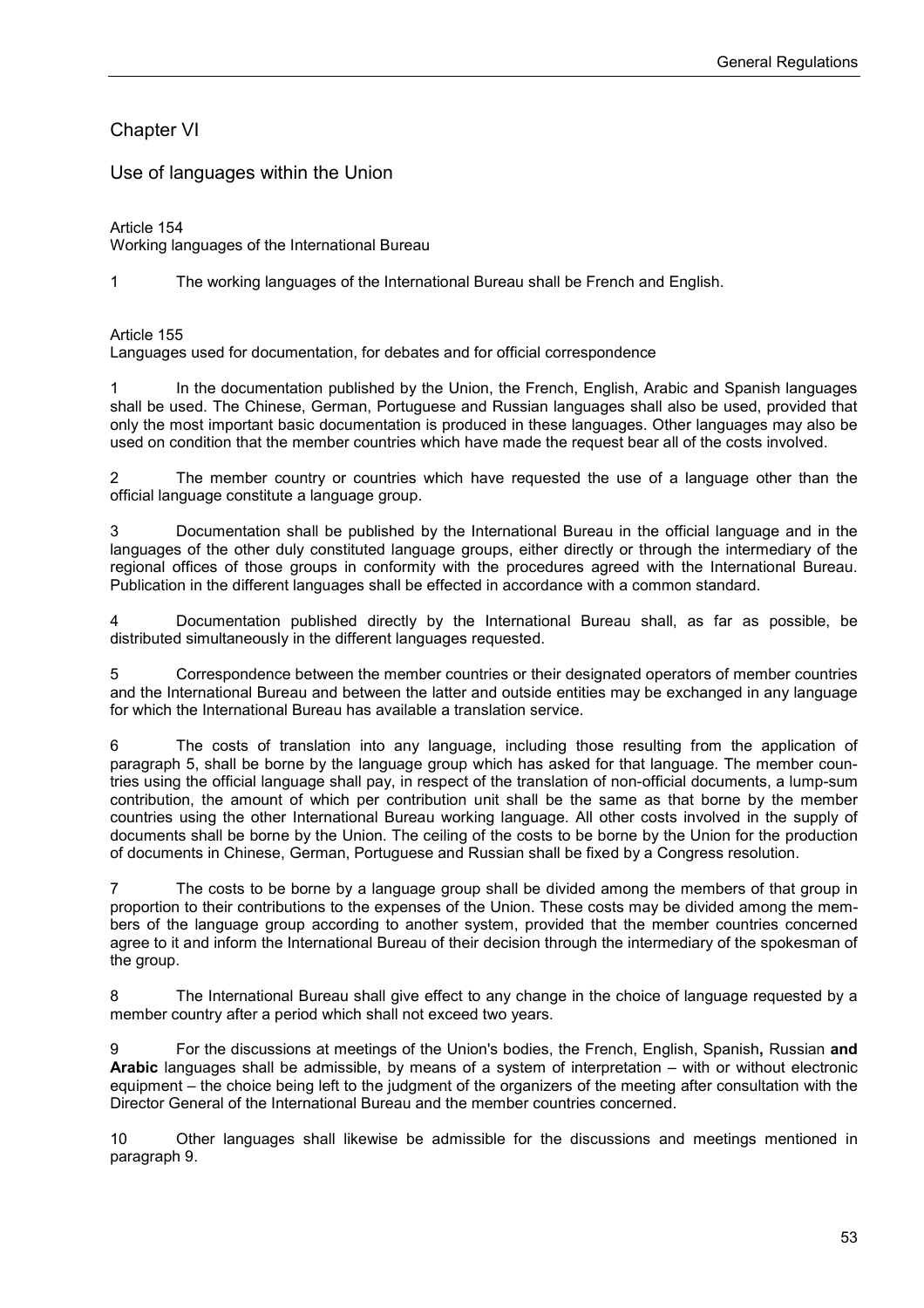# Chapter VI

Use of languages within the Union

#### Article 154

Working languages of the International Bureau

1 The working languages of the International Bureau shall be French and English.

#### Article 155

Languages used for documentation, for debates and for official correspondence

1 In the documentation published by the Union, the French, English, Arabic and Spanish languages shall be used. The Chinese, German, Portuguese and Russian languages shall also be used, provided that only the most important basic documentation is produced in these languages. Other languages may also be used on condition that the member countries which have made the request bear all of the costs involved.

2 The member country or countries which have requested the use of a language other than the official language constitute a language group.

3 Documentation shall be published by the International Bureau in the official language and in the languages of the other duly constituted language groups, either directly or through the intermediary of the regional offices of those groups in conformity with the procedures agreed with the International Bureau. Publication in the different languages shall be effected in accordance with a common standard.

4 Documentation published directly by the International Bureau shall, as far as possible, be distributed simultaneously in the different languages requested.

5 Correspondence between the member countries or their designated operators of member countries and the International Bureau and between the latter and outside entities may be exchanged in any language for which the International Bureau has available a translation service.

6 The costs of translation into any language, including those resulting from the application of paragraph 5, shall be borne by the language group which has asked for that language. The member countries using the official language shall pay, in respect of the translation of non-official documents, a lump-sum contribution, the amount of which per contribution unit shall be the same as that borne by the member countries using the other International Bureau working language. All other costs involved in the supply of documents shall be borne by the Union. The ceiling of the costs to be borne by the Union for the production of documents in Chinese, German, Portuguese and Russian shall be fixed by a Congress resolution.

7 The costs to be borne by a language group shall be divided among the members of that group in proportion to their contributions to the expenses of the Union. These costs may be divided among the members of the language group according to another system, provided that the member countries concerned agree to it and inform the International Bureau of their decision through the intermediary of the spokesman of the group.

8 The International Bureau shall give effect to any change in the choice of language requested by a member country after a period which shall not exceed two years.

9 For the discussions at meetings of the Union's bodies, the French, English, Spanish**,** Russian **and Arabic** languages shall be admissible, by means of a system of interpretation – with or without electronic equipment – the choice being left to the judgment of the organizers of the meeting after consultation with the Director General of the International Bureau and the member countries concerned.

10 Other languages shall likewise be admissible for the discussions and meetings mentioned in paragraph 9.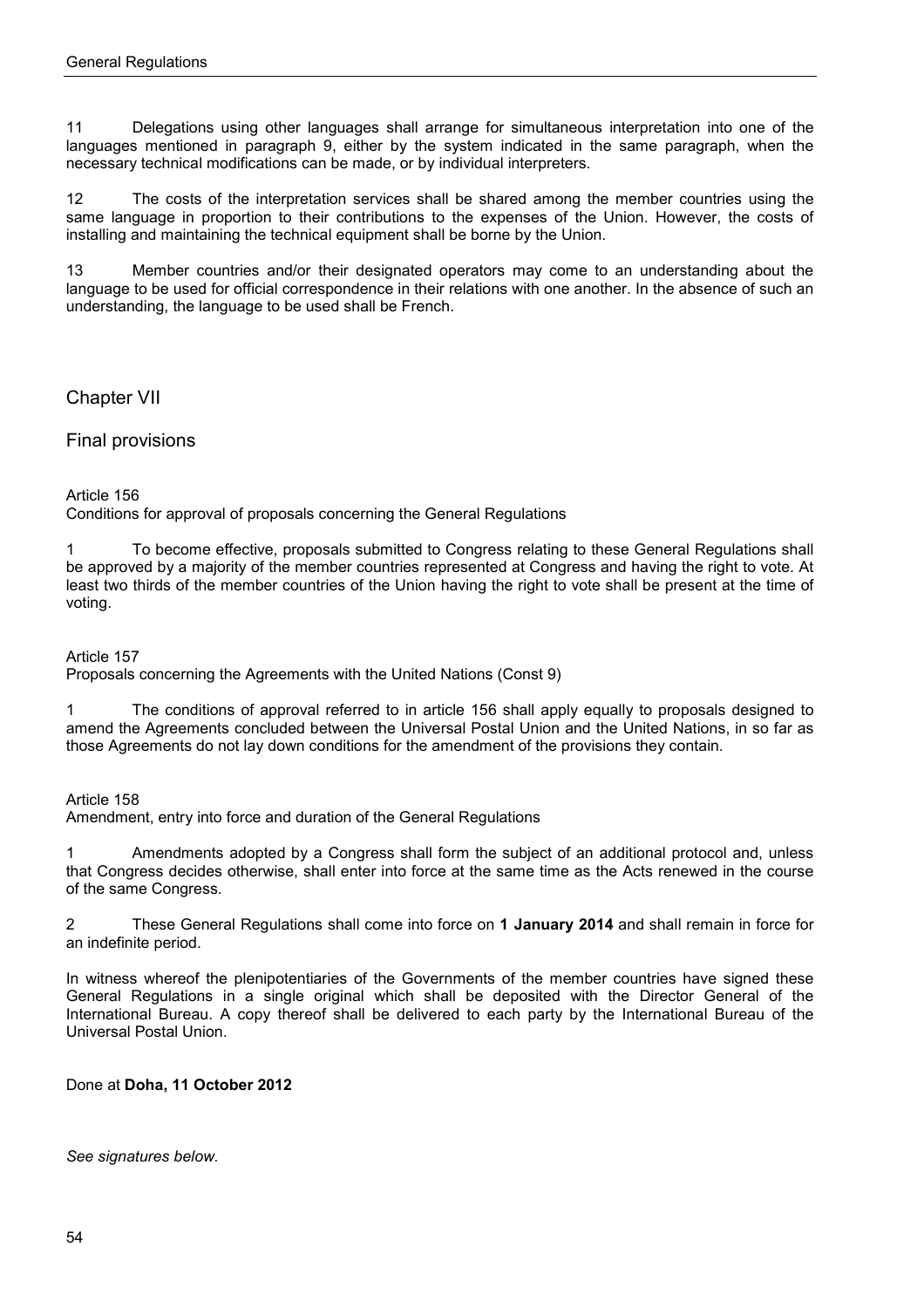11 Delegations using other languages shall arrange for simultaneous interpretation into one of the languages mentioned in paragraph 9, either by the system indicated in the same paragraph, when the necessary technical modifications can be made, or by individual interpreters.

12 The costs of the interpretation services shall be shared among the member countries using the same language in proportion to their contributions to the expenses of the Union. However, the costs of installing and maintaining the technical equipment shall be borne by the Union.

13 Member countries and/or their designated operators may come to an understanding about the language to be used for official correspondence in their relations with one another. In the absence of such an understanding, the language to be used shall be French.

Chapter VII

Final provisions

#### Article 156

Conditions for approval of proposals concerning the General Regulations

1 To become effective, proposals submitted to Congress relating to these General Regulations shall be approved by a majority of the member countries represented at Congress and having the right to vote. At least two thirds of the member countries of the Union having the right to vote shall be present at the time of voting.

Article 157

Proposals concerning the Agreements with the United Nations (Const 9)

1 The conditions of approval referred to in article 156 shall apply equally to proposals designed to amend the Agreements concluded between the Universal Postal Union and the United Nations, in so far as those Agreements do not lay down conditions for the amendment of the provisions they contain.

Article 158

Amendment, entry into force and duration of the General Regulations

1 Amendments adopted by a Congress shall form the subject of an additional protocol and, unless that Congress decides otherwise, shall enter into force at the same time as the Acts renewed in the course of the same Congress.

2 These General Regulations shall come into force on **1 January 2014** and shall remain in force for an indefinite period.

In witness whereof the plenipotentiaries of the Governments of the member countries have signed these General Regulations in a single original which shall be deposited with the Director General of the International Bureau. A copy thereof shall be delivered to each party by the International Bureau of the Universal Postal Union.

Done at **Doha, 11 October 2012**

*See signatures below.*